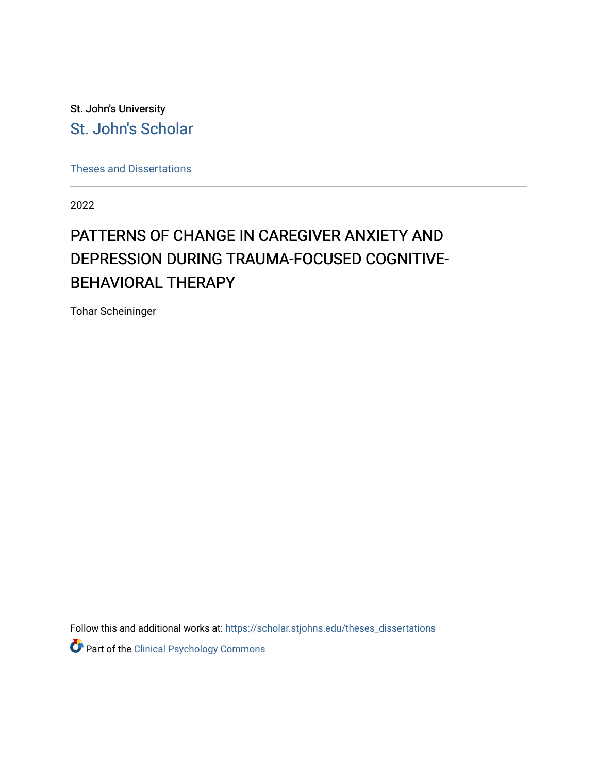St. John's University [St. John's Scholar](https://scholar.stjohns.edu/) 

[Theses and Dissertations](https://scholar.stjohns.edu/theses_dissertations)

2022

# PATTERNS OF CHANGE IN CAREGIVER ANXIETY AND DEPRESSION DURING TRAUMA-FOCUSED COGNITIVE-BEHAVIORAL THERAPY

Tohar Scheininger

Follow this and additional works at: [https://scholar.stjohns.edu/theses\\_dissertations](https://scholar.stjohns.edu/theses_dissertations?utm_source=scholar.stjohns.edu%2Ftheses_dissertations%2F390&utm_medium=PDF&utm_campaign=PDFCoverPages)

Part of the [Clinical Psychology Commons](https://network.bepress.com/hgg/discipline/406?utm_source=scholar.stjohns.edu%2Ftheses_dissertations%2F390&utm_medium=PDF&utm_campaign=PDFCoverPages)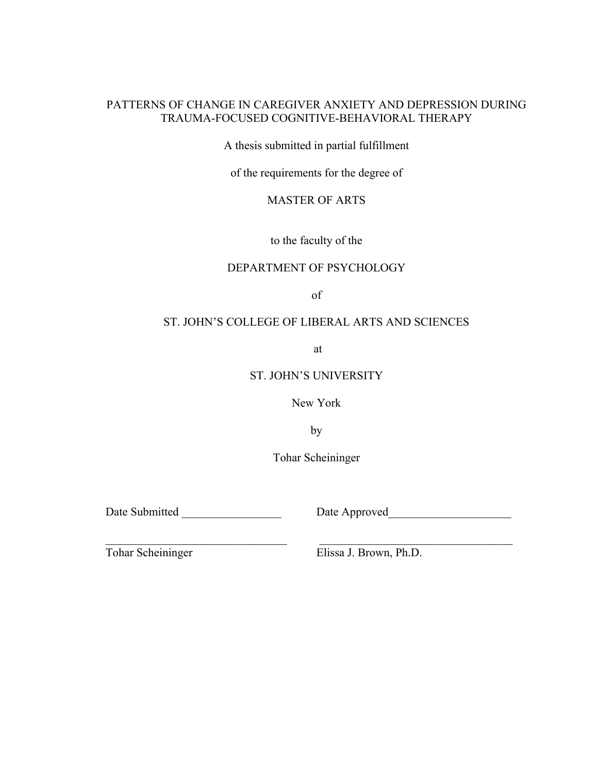# PATTERNS OF CHANGE IN CAREGIVER ANXIETY AND DEPRESSION DURING TRAUMA-FOCUSED COGNITIVE-BEHAVIORAL THERAPY

A thesis submitted in partial fulfillment

of the requirements for the degree of

MASTER OF ARTS

to the faculty of the

## DEPARTMENT OF PSYCHOLOGY

of

# ST. JOHN'S COLLEGE OF LIBERAL ARTS AND SCIENCES

at

## ST. JOHN'S UNIVERSITY

New York

by

Tohar Scheininger

 $\_$  , and the state of the state of the state of the state of the state of the state of the state of the state of the state of the state of the state of the state of the state of the state of the state of the state of the

Date Submitted \_\_\_\_\_\_\_\_\_\_\_\_\_\_\_\_\_ Date Approved\_\_\_\_\_\_\_\_\_\_\_\_\_\_\_\_\_\_\_\_\_

Tohar Scheininger Elissa J. Brown, Ph.D.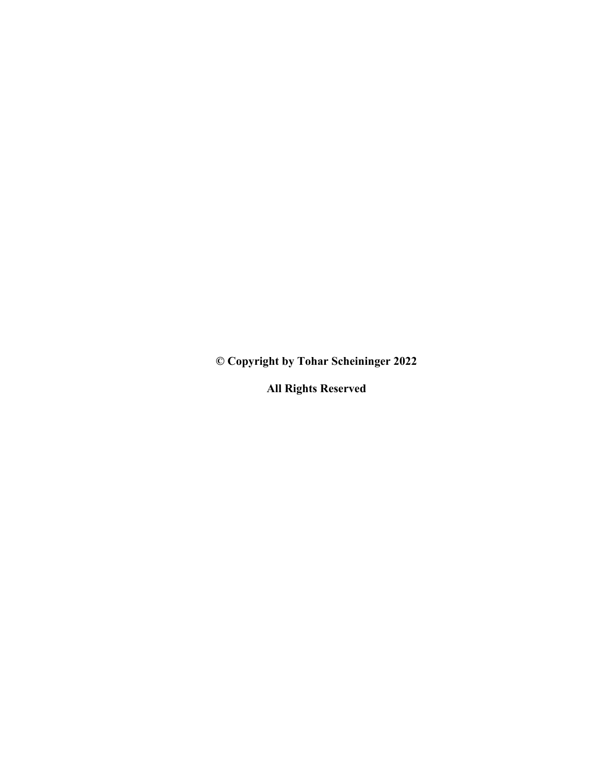**© Copyright by Tohar Scheininger 2022**

**All Rights Reserved**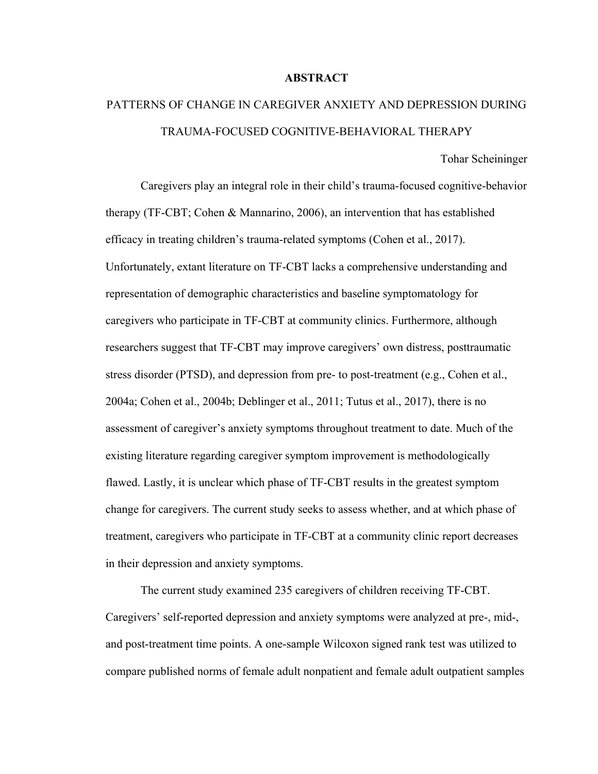## **ABSTRACT**

# PATTERNS OF CHANGE IN CAREGIVER ANXIETY AND DEPRESSION DURING TRAUMA-FOCUSED COGNITIVE-BEHAVIORAL THERAPY

Tohar Scheininger

Caregivers play an integral role in their child's trauma-focused cognitive-behavior therapy (TF-CBT; Cohen & Mannarino, 2006), an intervention that has established efficacy in treating children's trauma-related symptoms (Cohen et al., 2017). Unfortunately, extant literature on TF-CBT lacks a comprehensive understanding and representation of demographic characteristics and baseline symptomatology for caregivers who participate in TF-CBT at community clinics. Furthermore, although researchers suggest that TF-CBT may improve caregivers' own distress, posttraumatic stress disorder (PTSD), and depression from pre- to post-treatment (e.g., Cohen et al., 2004a; Cohen et al., 2004b; Deblinger et al., 2011; Tutus et al., 2017), there is no assessment of caregiver's anxiety symptoms throughout treatment to date. Much of the existing literature regarding caregiver symptom improvement is methodologically flawed. Lastly, it is unclear which phase of TF-CBT results in the greatest symptom change for caregivers. The current study seeks to assess whether, and at which phase of treatment, caregivers who participate in TF-CBT at a community clinic report decreases in their depression and anxiety symptoms.

The current study examined 235 caregivers of children receiving TF-CBT. Caregivers' self-reported depression and anxiety symptoms were analyzed at pre-, mid-, and post-treatment time points. A one-sample Wilcoxon signed rank test was utilized to compare published norms of female adult nonpatient and female adult outpatient samples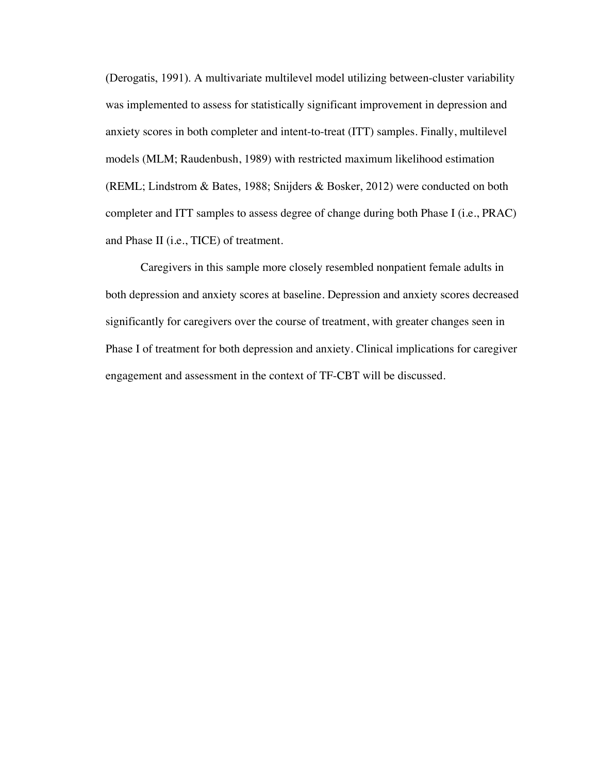(Derogatis, 1991). A multivariate multilevel model utilizing between-cluster variability was implemented to assess for statistically significant improvement in depression and anxiety scores in both completer and intent-to-treat (ITT) samples. Finally, multilevel models (MLM; Raudenbush, 1989) with restricted maximum likelihood estimation (REML; Lindstrom & Bates, 1988; Snijders & Bosker, 2012) were conducted on both completer and ITT samples to assess degree of change during both Phase I (i.e., PRAC) and Phase II (i.e., TICE) of treatment.

Caregivers in this sample more closely resembled nonpatient female adults in both depression and anxiety scores at baseline. Depression and anxiety scores decreased significantly for caregivers over the course of treatment, with greater changes seen in Phase I of treatment for both depression and anxiety. Clinical implications for caregiver engagement and assessment in the context of TF-CBT will be discussed.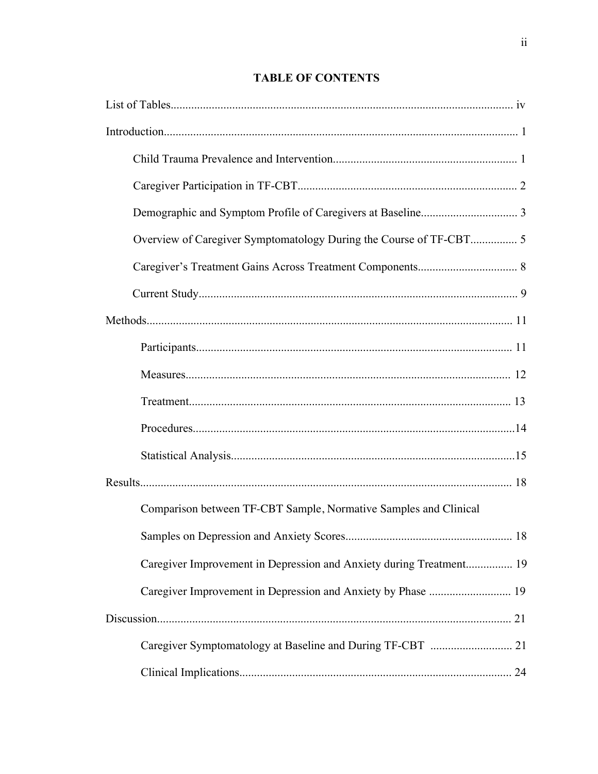# **TABLE OF CONTENTS**

| Comparison between TF-CBT Sample, Normative Samples and Clinical    |
|---------------------------------------------------------------------|
|                                                                     |
| Caregiver Improvement in Depression and Anxiety during Treatment 19 |
| Caregiver Improvement in Depression and Anxiety by Phase  19        |
|                                                                     |
|                                                                     |
|                                                                     |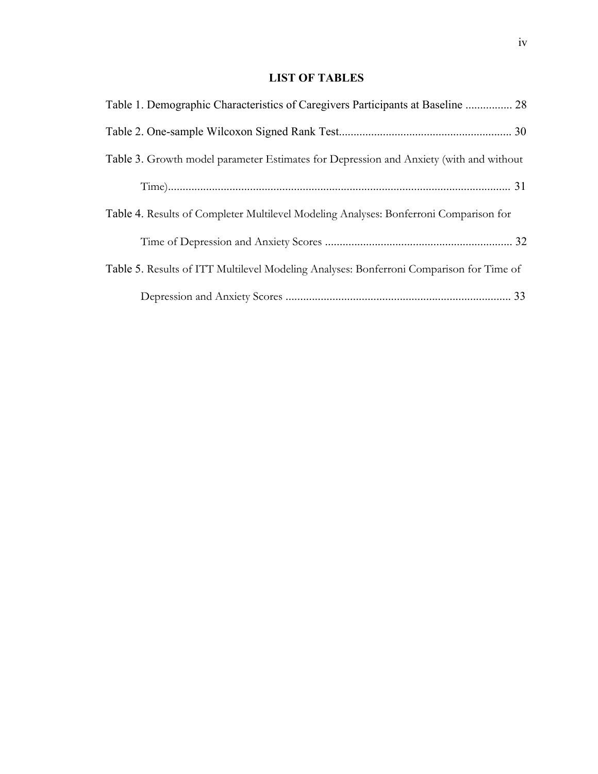# **LIST OF TABLES**

| Table 1. Demographic Characteristics of Caregivers Participants at Baseline  28         |  |
|-----------------------------------------------------------------------------------------|--|
|                                                                                         |  |
| Table 3. Growth model parameter Estimates for Depression and Anxiety (with and without  |  |
|                                                                                         |  |
| Table 4. Results of Completer Multilevel Modeling Analyses: Bonferroni Comparison for   |  |
|                                                                                         |  |
| Table 5. Results of ITT Multilevel Modeling Analyses: Bonferroni Comparison for Time of |  |
|                                                                                         |  |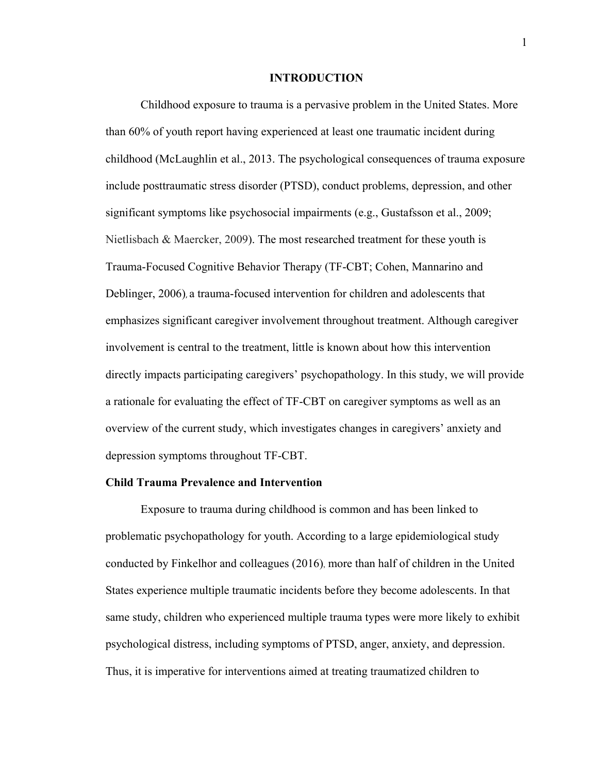#### **INTRODUCTION**

Childhood exposure to trauma is a pervasive problem in the United States. More than 60% of youth report having experienced at least one traumatic incident during childhood (McLaughlin et al., 2013. The psychological consequences of trauma exposure include posttraumatic stress disorder (PTSD), conduct problems, depression, and other significant symptoms like psychosocial impairments (e.g., Gustafsson et al., 2009; Nietlisbach & Maercker, 2009). The most researched treatment for these youth is Trauma-Focused Cognitive Behavior Therapy (TF-CBT; Cohen, Mannarino and Deblinger, 2006), a trauma-focused intervention for children and adolescents that emphasizes significant caregiver involvement throughout treatment. Although caregiver involvement is central to the treatment, little is known about how this intervention directly impacts participating caregivers' psychopathology. In this study, we will provide a rationale for evaluating the effect of TF-CBT on caregiver symptoms as well as an overview of the current study, which investigates changes in caregivers' anxiety and depression symptoms throughout TF-CBT.

#### **Child Trauma Prevalence and Intervention**

Exposure to trauma during childhood is common and has been linked to problematic psychopathology for youth. According to a large epidemiological study conducted by Finkelhor and colleagues (2016), more than half of children in the United States experience multiple traumatic incidents before they become adolescents. In that same study, children who experienced multiple trauma types were more likely to exhibit psychological distress, including symptoms of PTSD, anger, anxiety, and depression. Thus, it is imperative for interventions aimed at treating traumatized children to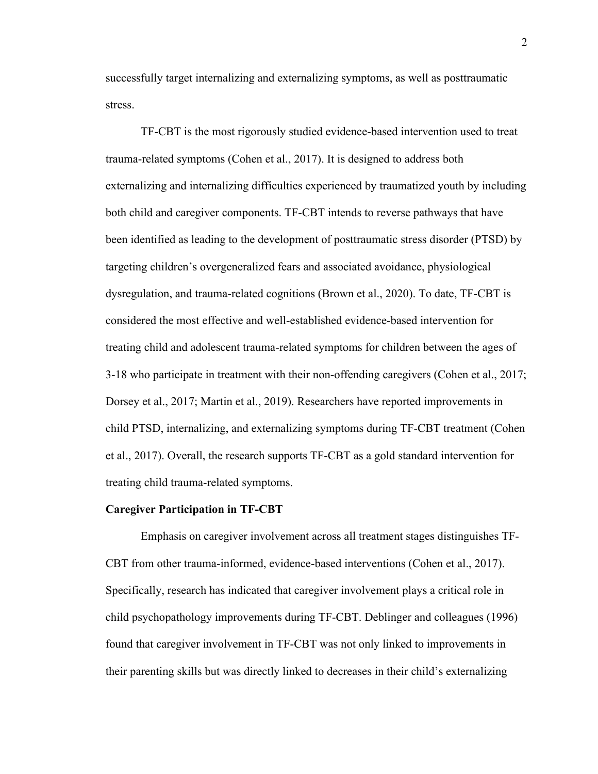successfully target internalizing and externalizing symptoms, as well as posttraumatic stress.

TF-CBT is the most rigorously studied evidence-based intervention used to treat trauma-related symptoms (Cohen et al., 2017). It is designed to address both externalizing and internalizing difficulties experienced by traumatized youth by including both child and caregiver components. TF-CBT intends to reverse pathways that have been identified as leading to the development of posttraumatic stress disorder (PTSD) by targeting children's overgeneralized fears and associated avoidance, physiological dysregulation, and trauma-related cognitions (Brown et al., 2020). To date, TF-CBT is considered the most effective and well-established evidence-based intervention for treating child and adolescent trauma-related symptoms for children between the ages of 3-18 who participate in treatment with their non-offending caregivers (Cohen et al., 2017; Dorsey et al., 2017; Martin et al., 2019). Researchers have reported improvements in child PTSD, internalizing, and externalizing symptoms during TF-CBT treatment (Cohen et al., 2017). Overall, the research supports TF-CBT as a gold standard intervention for treating child trauma-related symptoms.

#### **Caregiver Participation in TF-CBT**

Emphasis on caregiver involvement across all treatment stages distinguishes TF-CBT from other trauma-informed, evidence-based interventions (Cohen et al., 2017). Specifically, research has indicated that caregiver involvement plays a critical role in child psychopathology improvements during TF-CBT. Deblinger and colleagues (1996) found that caregiver involvement in TF-CBT was not only linked to improvements in their parenting skills but was directly linked to decreases in their child's externalizing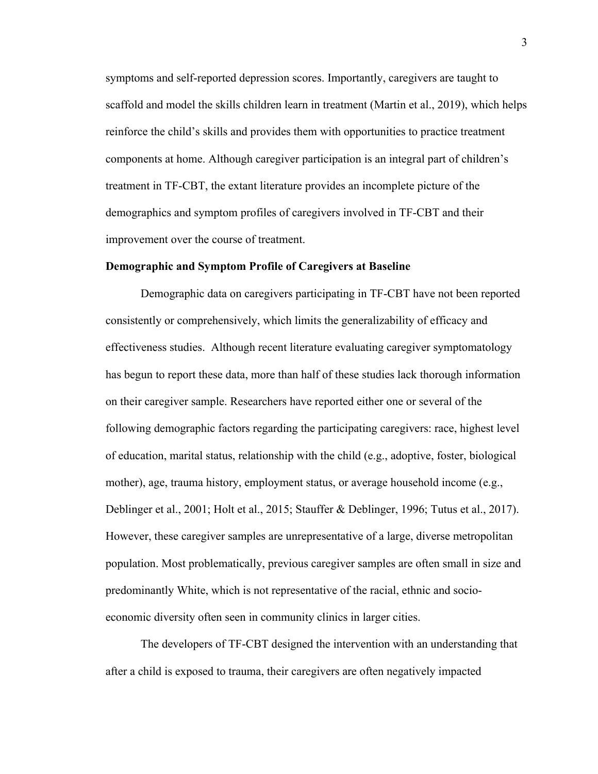symptoms and self-reported depression scores. Importantly, caregivers are taught to scaffold and model the skills children learn in treatment (Martin et al., 2019), which helps reinforce the child's skills and provides them with opportunities to practice treatment components at home. Although caregiver participation is an integral part of children's treatment in TF-CBT, the extant literature provides an incomplete picture of the demographics and symptom profiles of caregivers involved in TF-CBT and their improvement over the course of treatment.

#### **Demographic and Symptom Profile of Caregivers at Baseline**

Demographic data on caregivers participating in TF-CBT have not been reported consistently or comprehensively, which limits the generalizability of efficacy and effectiveness studies. Although recent literature evaluating caregiver symptomatology has begun to report these data, more than half of these studies lack thorough information on their caregiver sample. Researchers have reported either one or several of the following demographic factors regarding the participating caregivers: race, highest level of education, marital status, relationship with the child (e.g., adoptive, foster, biological mother), age, trauma history, employment status, or average household income (e.g., Deblinger et al., 2001; Holt et al., 2015; Stauffer & Deblinger, 1996; Tutus et al., 2017). However, these caregiver samples are unrepresentative of a large, diverse metropolitan population. Most problematically, previous caregiver samples are often small in size and predominantly White, which is not representative of the racial, ethnic and socioeconomic diversity often seen in community clinics in larger cities.

The developers of TF-CBT designed the intervention with an understanding that after a child is exposed to trauma, their caregivers are often negatively impacted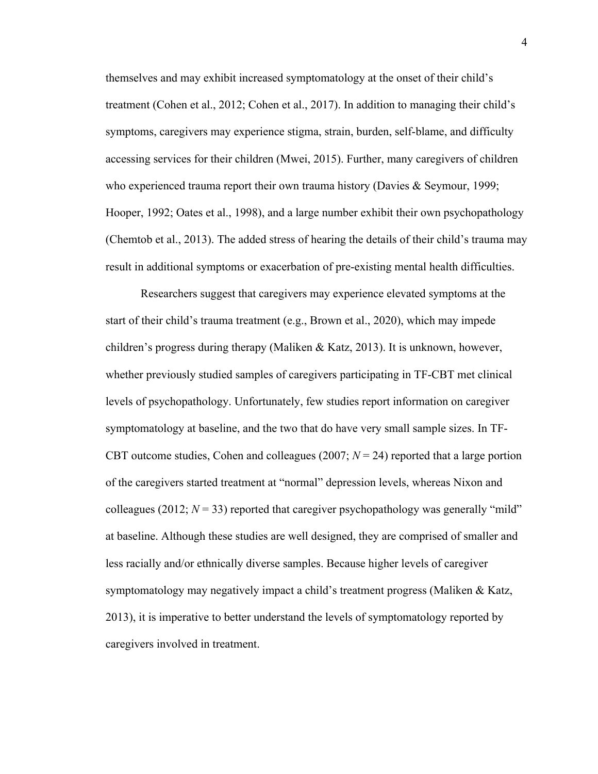themselves and may exhibit increased symptomatology at the onset of their child's treatment (Cohen et al., 2012; Cohen et al., 2017). In addition to managing their child's symptoms, caregivers may experience stigma, strain, burden, self-blame, and difficulty accessing services for their children (Mwei, 2015). Further, many caregivers of children who experienced trauma report their own trauma history (Davies & Seymour, 1999; Hooper, 1992; Oates et al., 1998), and a large number exhibit their own psychopathology (Chemtob et al., 2013). The added stress of hearing the details of their child's trauma may result in additional symptoms or exacerbation of pre-existing mental health difficulties.

Researchers suggest that caregivers may experience elevated symptoms at the start of their child's trauma treatment (e.g., Brown et al., 2020), which may impede children's progress during therapy (Maliken & Katz, 2013). It is unknown, however, whether previously studied samples of caregivers participating in TF-CBT met clinical levels of psychopathology. Unfortunately, few studies report information on caregiver symptomatology at baseline, and the two that do have very small sample sizes. In TF-CBT outcome studies, Cohen and colleagues (2007;  $N = 24$ ) reported that a large portion of the caregivers started treatment at "normal" depression levels, whereas Nixon and colleagues (2012;  $N = 33$ ) reported that caregiver psychopathology was generally "mild" at baseline. Although these studies are well designed, they are comprised of smaller and less racially and/or ethnically diverse samples. Because higher levels of caregiver symptomatology may negatively impact a child's treatment progress (Maliken & Katz, 2013), it is imperative to better understand the levels of symptomatology reported by caregivers involved in treatment.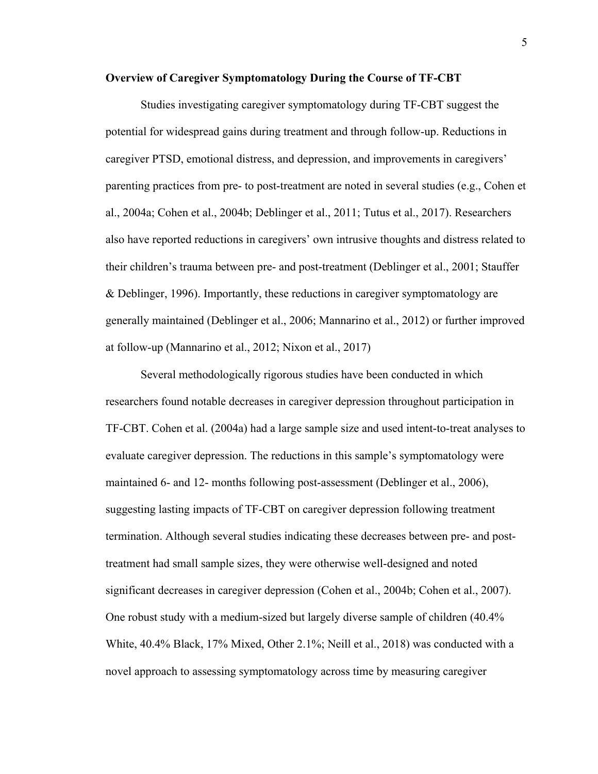## **Overview of Caregiver Symptomatology During the Course of TF-CBT**

Studies investigating caregiver symptomatology during TF-CBT suggest the potential for widespread gains during treatment and through follow-up. Reductions in caregiver PTSD, emotional distress, and depression, and improvements in caregivers' parenting practices from pre- to post-treatment are noted in several studies (e.g., Cohen et al., 2004a; Cohen et al., 2004b; Deblinger et al., 2011; Tutus et al., 2017). Researchers also have reported reductions in caregivers' own intrusive thoughts and distress related to their children's trauma between pre- and post-treatment (Deblinger et al., 2001; Stauffer & Deblinger, 1996). Importantly, these reductions in caregiver symptomatology are generally maintained (Deblinger et al., 2006; Mannarino et al., 2012) or further improved at follow-up (Mannarino et al., 2012; Nixon et al., 2017)

Several methodologically rigorous studies have been conducted in which researchers found notable decreases in caregiver depression throughout participation in TF-CBT. Cohen et al. (2004a) had a large sample size and used intent-to-treat analyses to evaluate caregiver depression. The reductions in this sample's symptomatology were maintained 6- and 12- months following post-assessment (Deblinger et al., 2006), suggesting lasting impacts of TF-CBT on caregiver depression following treatment termination. Although several studies indicating these decreases between pre- and posttreatment had small sample sizes, they were otherwise well-designed and noted significant decreases in caregiver depression (Cohen et al., 2004b; Cohen et al., 2007). One robust study with a medium-sized but largely diverse sample of children (40.4% White, 40.4% Black, 17% Mixed, Other 2.1%; Neill et al., 2018) was conducted with a novel approach to assessing symptomatology across time by measuring caregiver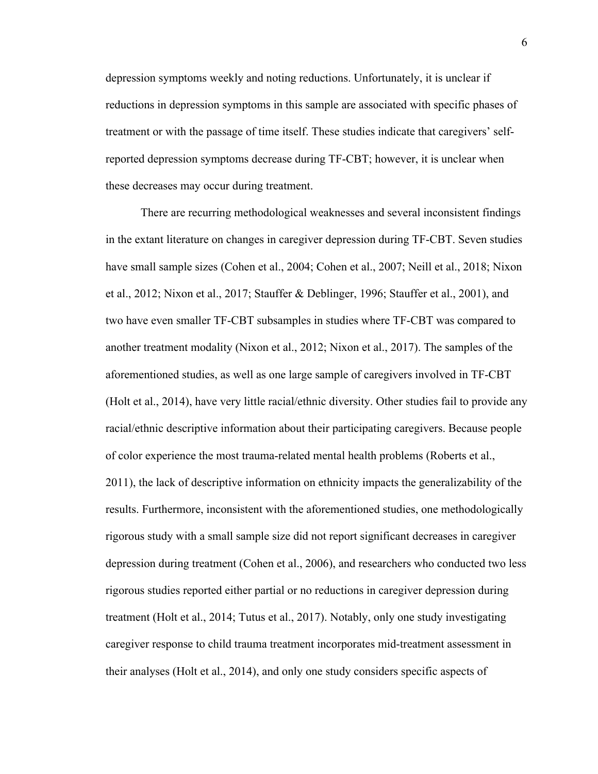depression symptoms weekly and noting reductions. Unfortunately, it is unclear if reductions in depression symptoms in this sample are associated with specific phases of treatment or with the passage of time itself. These studies indicate that caregivers' selfreported depression symptoms decrease during TF-CBT; however, it is unclear when these decreases may occur during treatment.

There are recurring methodological weaknesses and several inconsistent findings in the extant literature on changes in caregiver depression during TF-CBT. Seven studies have small sample sizes (Cohen et al., 2004; Cohen et al., 2007; Neill et al., 2018; Nixon et al., 2012; Nixon et al., 2017; Stauffer & Deblinger, 1996; Stauffer et al., 2001), and two have even smaller TF-CBT subsamples in studies where TF-CBT was compared to another treatment modality (Nixon et al., 2012; Nixon et al., 2017). The samples of the aforementioned studies, as well as one large sample of caregivers involved in TF-CBT (Holt et al., 2014), have very little racial/ethnic diversity. Other studies fail to provide any racial/ethnic descriptive information about their participating caregivers. Because people of color experience the most trauma-related mental health problems (Roberts et al., 2011), the lack of descriptive information on ethnicity impacts the generalizability of the results. Furthermore, inconsistent with the aforementioned studies, one methodologically rigorous study with a small sample size did not report significant decreases in caregiver depression during treatment (Cohen et al., 2006), and researchers who conducted two less rigorous studies reported either partial or no reductions in caregiver depression during treatment (Holt et al., 2014; Tutus et al., 2017). Notably, only one study investigating caregiver response to child trauma treatment incorporates mid-treatment assessment in their analyses (Holt et al., 2014), and only one study considers specific aspects of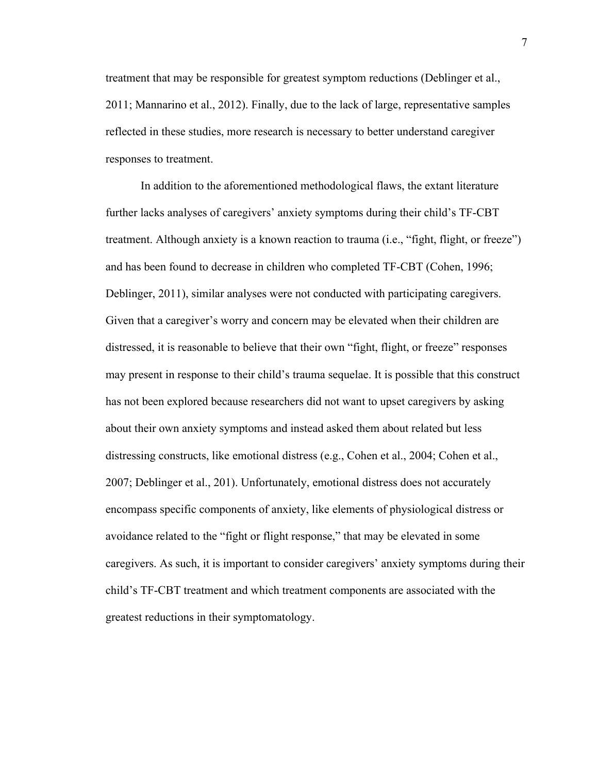treatment that may be responsible for greatest symptom reductions (Deblinger et al., 2011; Mannarino et al., 2012). Finally, due to the lack of large, representative samples reflected in these studies, more research is necessary to better understand caregiver responses to treatment.

In addition to the aforementioned methodological flaws, the extant literature further lacks analyses of caregivers' anxiety symptoms during their child's TF-CBT treatment. Although anxiety is a known reaction to trauma (i.e., "fight, flight, or freeze") and has been found to decrease in children who completed TF-CBT (Cohen, 1996; Deblinger, 2011), similar analyses were not conducted with participating caregivers. Given that a caregiver's worry and concern may be elevated when their children are distressed, it is reasonable to believe that their own "fight, flight, or freeze" responses may present in response to their child's trauma sequelae. It is possible that this construct has not been explored because researchers did not want to upset caregivers by asking about their own anxiety symptoms and instead asked them about related but less distressing constructs, like emotional distress (e.g., Cohen et al., 2004; Cohen et al., 2007; Deblinger et al., 201). Unfortunately, emotional distress does not accurately encompass specific components of anxiety, like elements of physiological distress or avoidance related to the "fight or flight response," that may be elevated in some caregivers. As such, it is important to consider caregivers' anxiety symptoms during their child's TF-CBT treatment and which treatment components are associated with the greatest reductions in their symptomatology.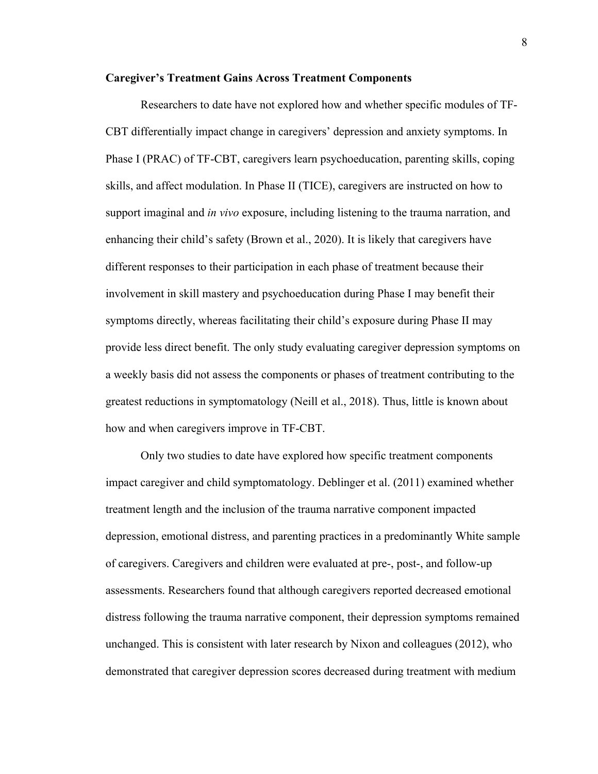#### **Caregiver's Treatment Gains Across Treatment Components**

Researchers to date have not explored how and whether specific modules of TF-CBT differentially impact change in caregivers' depression and anxiety symptoms. In Phase I (PRAC) of TF-CBT, caregivers learn psychoeducation, parenting skills, coping skills, and affect modulation. In Phase II (TICE), caregivers are instructed on how to support imaginal and *in vivo* exposure, including listening to the trauma narration, and enhancing their child's safety (Brown et al., 2020). It is likely that caregivers have different responses to their participation in each phase of treatment because their involvement in skill mastery and psychoeducation during Phase I may benefit their symptoms directly, whereas facilitating their child's exposure during Phase II may provide less direct benefit. The only study evaluating caregiver depression symptoms on a weekly basis did not assess the components or phases of treatment contributing to the greatest reductions in symptomatology (Neill et al., 2018). Thus, little is known about how and when caregivers improve in TF-CBT.

Only two studies to date have explored how specific treatment components impact caregiver and child symptomatology. Deblinger et al. (2011) examined whether treatment length and the inclusion of the trauma narrative component impacted depression, emotional distress, and parenting practices in a predominantly White sample of caregivers. Caregivers and children were evaluated at pre-, post-, and follow-up assessments. Researchers found that although caregivers reported decreased emotional distress following the trauma narrative component, their depression symptoms remained unchanged. This is consistent with later research by Nixon and colleagues (2012), who demonstrated that caregiver depression scores decreased during treatment with medium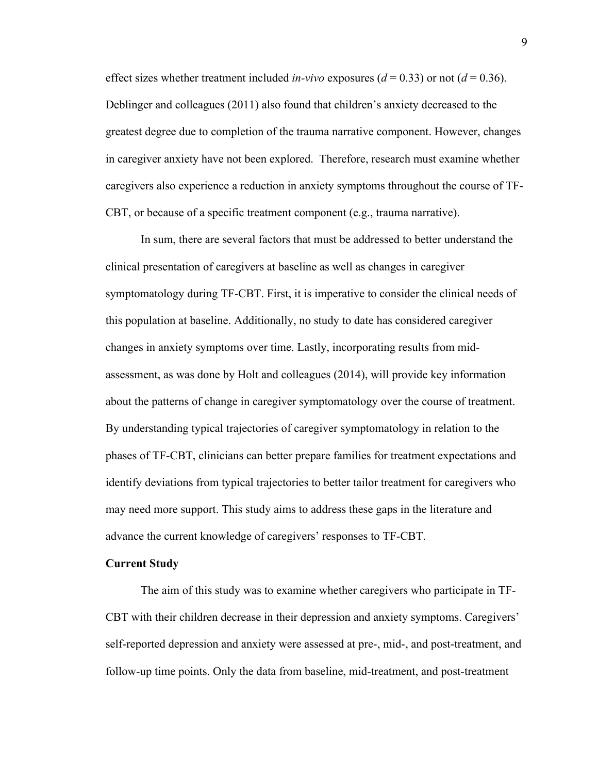effect sizes whether treatment included *in-vivo* exposures ( $d = 0.33$ ) or not ( $d = 0.36$ ). Deblinger and colleagues (2011) also found that children's anxiety decreased to the greatest degree due to completion of the trauma narrative component. However, changes in caregiver anxiety have not been explored. Therefore, research must examine whether caregivers also experience a reduction in anxiety symptoms throughout the course of TF-CBT, or because of a specific treatment component (e.g., trauma narrative).

In sum, there are several factors that must be addressed to better understand the clinical presentation of caregivers at baseline as well as changes in caregiver symptomatology during TF-CBT. First, it is imperative to consider the clinical needs of this population at baseline. Additionally, no study to date has considered caregiver changes in anxiety symptoms over time. Lastly, incorporating results from midassessment, as was done by Holt and colleagues (2014), will provide key information about the patterns of change in caregiver symptomatology over the course of treatment. By understanding typical trajectories of caregiver symptomatology in relation to the phases of TF-CBT, clinicians can better prepare families for treatment expectations and identify deviations from typical trajectories to better tailor treatment for caregivers who may need more support. This study aims to address these gaps in the literature and advance the current knowledge of caregivers' responses to TF-CBT.

#### **Current Study**

The aim of this study was to examine whether caregivers who participate in TF-CBT with their children decrease in their depression and anxiety symptoms. Caregivers' self-reported depression and anxiety were assessed at pre-, mid-, and post-treatment, and follow-up time points. Only the data from baseline, mid-treatment, and post-treatment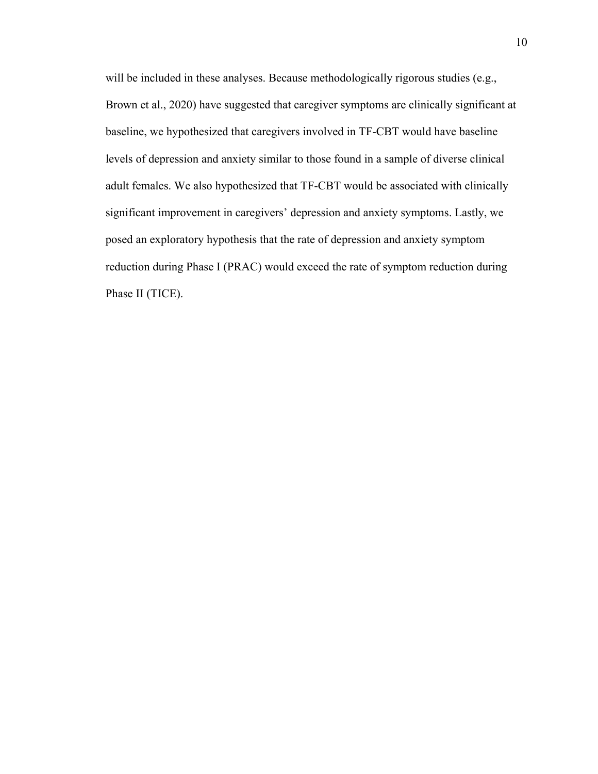will be included in these analyses. Because methodologically rigorous studies (e.g., Brown et al., 2020) have suggested that caregiver symptoms are clinically significant at baseline, we hypothesized that caregivers involved in TF-CBT would have baseline levels of depression and anxiety similar to those found in a sample of diverse clinical adult females. We also hypothesized that TF-CBT would be associated with clinically significant improvement in caregivers' depression and anxiety symptoms. Lastly, we posed an exploratory hypothesis that the rate of depression and anxiety symptom reduction during Phase I (PRAC) would exceed the rate of symptom reduction during Phase II (TICE).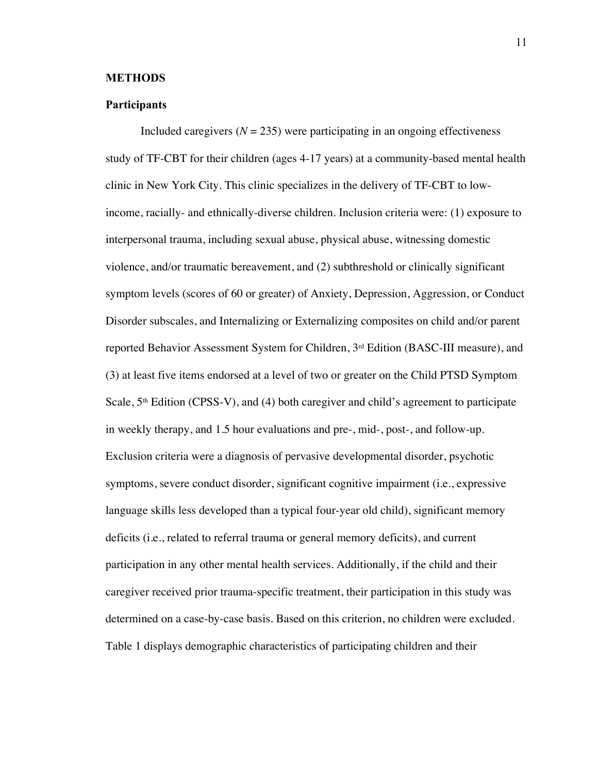#### **METHODS**

#### **Participants**

Included caregivers  $(N = 235)$  were participating in an ongoing effectiveness study of TF-CBT for their children (ages 4-17 years) at a community-based mental health clinic in New York City. This clinic specializes in the delivery of TF-CBT to lowincome, racially- and ethnically-diverse children. Inclusion criteria were: (1) exposure to interpersonal trauma, including sexual abuse, physical abuse, witnessing domestic violence, and/or traumatic bereavement, and (2) subthreshold or clinically significant symptom levels (scores of 60 or greater) of Anxiety, Depression, Aggression, or Conduct Disorder subscales, and Internalizing or Externalizing composites on child and/or parent reported Behavior Assessment System for Children, 3rd Edition (BASC-III measure), and (3) at least five items endorsed at a level of two or greater on the Child PTSD Symptom Scale,  $5<sup>th</sup>$  Edition (CPSS-V), and (4) both caregiver and child's agreement to participate in weekly therapy, and 1.5 hour evaluations and pre-, mid-, post-, and follow-up. Exclusion criteria were a diagnosis of pervasive developmental disorder, psychotic symptoms, severe conduct disorder, significant cognitive impairment (i.e., expressive language skills less developed than a typical four-year old child), significant memory deficits (i.e., related to referral trauma or general memory deficits), and current participation in any other mental health services. Additionally, if the child and their caregiver received prior trauma-specific treatment, their participation in this study was determined on a case-by-case basis. Based on this criterion, no children were excluded. Table 1 displays demographic characteristics of participating children and their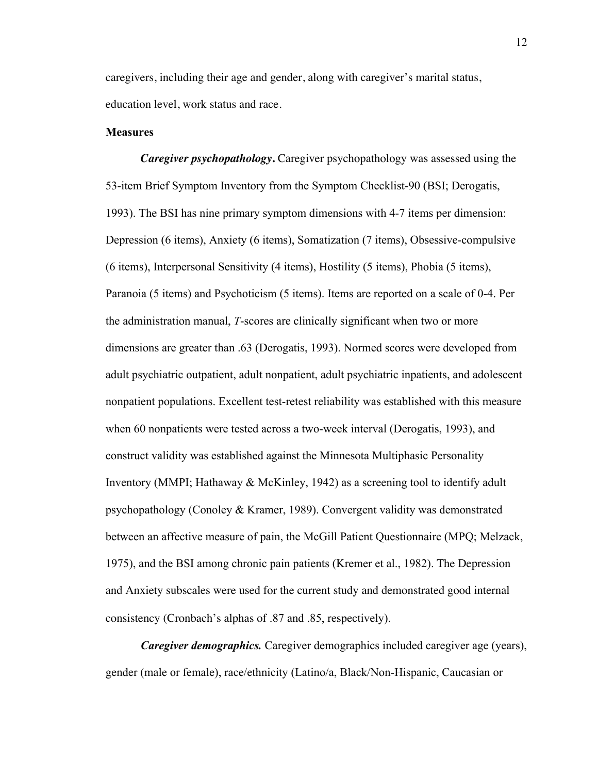caregivers, including their age and gender, along with caregiver's marital status, education level, work status and race.

#### **Measures**

*Caregiver psychopathology***.** Caregiver psychopathology was assessed using the 53-item Brief Symptom Inventory from the Symptom Checklist-90 (BSI; Derogatis, 1993). The BSI has nine primary symptom dimensions with 4-7 items per dimension: Depression (6 items), Anxiety (6 items), Somatization (7 items), Obsessive-compulsive (6 items), Interpersonal Sensitivity (4 items), Hostility (5 items), Phobia (5 items), Paranoia (5 items) and Psychoticism (5 items). Items are reported on a scale of 0-4. Per the administration manual, *T*-scores are clinically significant when two or more dimensions are greater than .63 (Derogatis, 1993). Normed scores were developed from adult psychiatric outpatient, adult nonpatient, adult psychiatric inpatients, and adolescent nonpatient populations. Excellent test-retest reliability was established with this measure when 60 nonpatients were tested across a two-week interval (Derogatis, 1993), and construct validity was established against the Minnesota Multiphasic Personality Inventory (MMPI; Hathaway & McKinley, 1942) as a screening tool to identify adult psychopathology (Conoley & Kramer, 1989). Convergent validity was demonstrated between an affective measure of pain, the McGill Patient Questionnaire (MPQ; Melzack, 1975), and the BSI among chronic pain patients (Kremer et al., 1982). The Depression and Anxiety subscales were used for the current study and demonstrated good internal consistency (Cronbach's alphas of .87 and .85, respectively).

*Caregiver demographics.* Caregiver demographics included caregiver age (years), gender (male or female), race/ethnicity (Latino/a, Black/Non-Hispanic, Caucasian or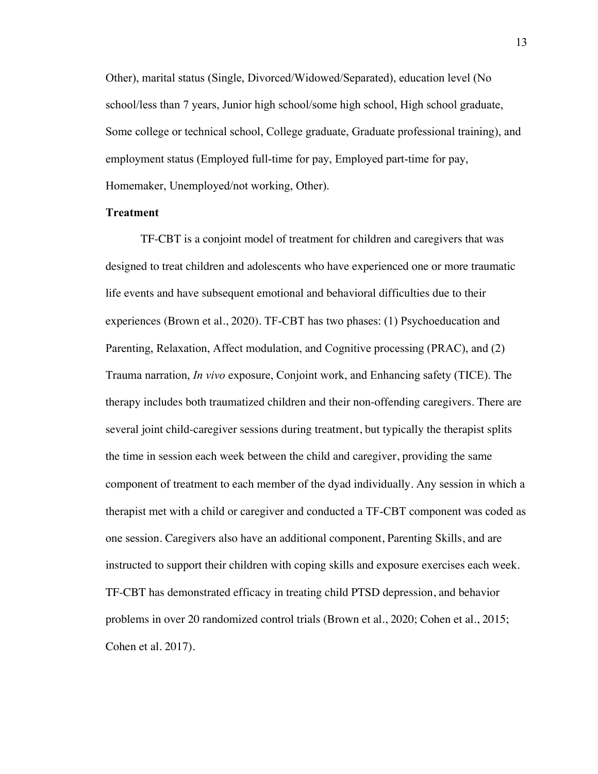Other), marital status (Single, Divorced/Widowed/Separated), education level (No school/less than 7 years, Junior high school/some high school, High school graduate, Some college or technical school, College graduate, Graduate professional training), and employment status (Employed full-time for pay, Employed part-time for pay, Homemaker, Unemployed/not working, Other).

#### **Treatment**

TF-CBT is a conjoint model of treatment for children and caregivers that was designed to treat children and adolescents who have experienced one or more traumatic life events and have subsequent emotional and behavioral difficulties due to their experiences (Brown et al., 2020). TF-CBT has two phases: (1) Psychoeducation and Parenting, Relaxation, Affect modulation, and Cognitive processing (PRAC), and (2) Trauma narration, *In vivo* exposure, Conjoint work, and Enhancing safety (TICE). The therapy includes both traumatized children and their non-offending caregivers. There are several joint child-caregiver sessions during treatment, but typically the therapist splits the time in session each week between the child and caregiver, providing the same component of treatment to each member of the dyad individually. Any session in which a therapist met with a child or caregiver and conducted a TF-CBT component was coded as one session. Caregivers also have an additional component, Parenting Skills, and are instructed to support their children with coping skills and exposure exercises each week. TF-CBT has demonstrated efficacy in treating child PTSD depression, and behavior problems in over 20 randomized control trials (Brown et al., 2020; Cohen et al., 2015; Cohen et al. 2017).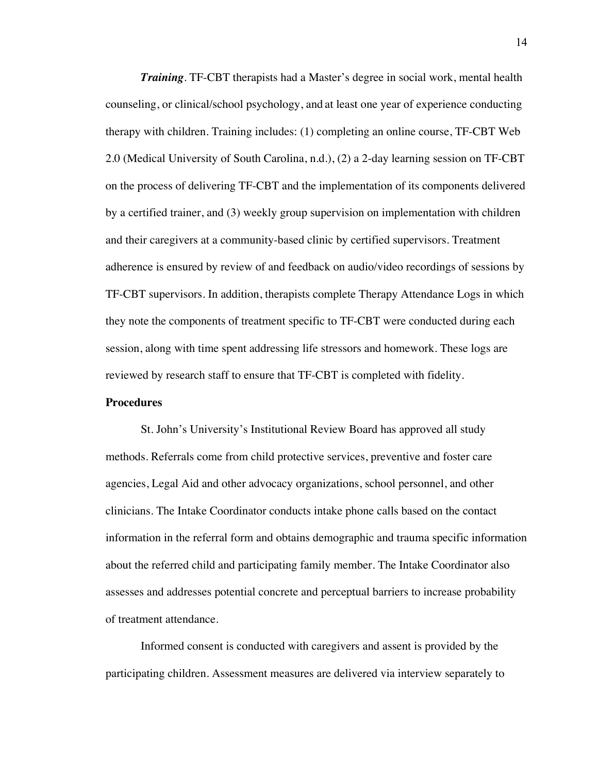*Training*. TF-CBT therapists had a Master's degree in social work, mental health counseling, or clinical/school psychology, and at least one year of experience conducting therapy with children. Training includes: (1) completing an online course, TF-CBT Web 2.0 (Medical University of South Carolina, n.d.), (2) a 2-day learning session on TF-CBT on the process of delivering TF-CBT and the implementation of its components delivered by a certified trainer, and (3) weekly group supervision on implementation with children and their caregivers at a community-based clinic by certified supervisors. Treatment adherence is ensured by review of and feedback on audio/video recordings of sessions by TF-CBT supervisors. In addition, therapists complete Therapy Attendance Logs in which they note the components of treatment specific to TF-CBT were conducted during each session, along with time spent addressing life stressors and homework. These logs are reviewed by research staff to ensure that TF-CBT is completed with fidelity.

#### **Procedures**

St. John's University's Institutional Review Board has approved all study methods. Referrals come from child protective services, preventive and foster care agencies, Legal Aid and other advocacy organizations, school personnel, and other clinicians. The Intake Coordinator conducts intake phone calls based on the contact information in the referral form and obtains demographic and trauma specific information about the referred child and participating family member. The Intake Coordinator also assesses and addresses potential concrete and perceptual barriers to increase probability of treatment attendance.

Informed consent is conducted with caregivers and assent is provided by the participating children. Assessment measures are delivered via interview separately to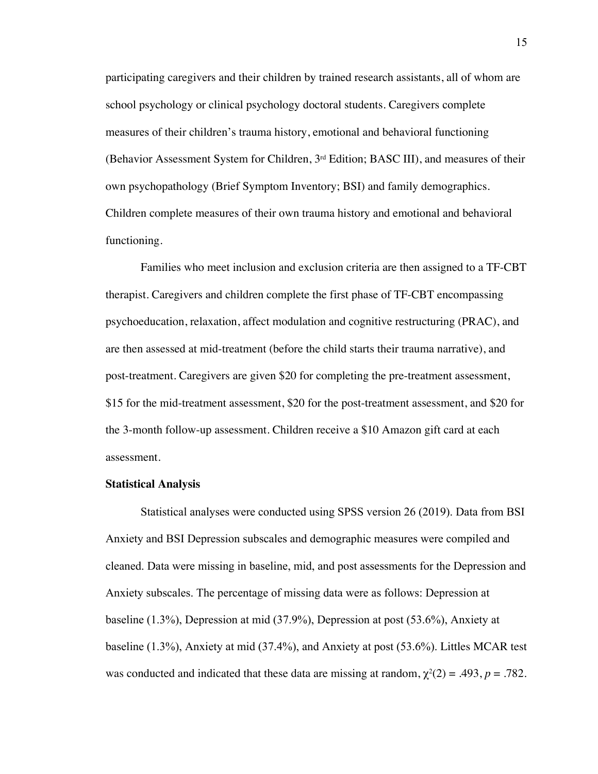participating caregivers and their children by trained research assistants, all of whom are school psychology or clinical psychology doctoral students. Caregivers complete measures of their children's trauma history, emotional and behavioral functioning (Behavior Assessment System for Children,  $3<sup>rd</sup>$  Edition; BASC III), and measures of their own psychopathology (Brief Symptom Inventory; BSI) and family demographics. Children complete measures of their own trauma history and emotional and behavioral functioning.

Families who meet inclusion and exclusion criteria are then assigned to a TF-CBT therapist. Caregivers and children complete the first phase of TF-CBT encompassing psychoeducation, relaxation, affect modulation and cognitive restructuring (PRAC), and are then assessed at mid-treatment (before the child starts their trauma narrative), and post-treatment. Caregivers are given \$20 for completing the pre-treatment assessment, \$15 for the mid-treatment assessment, \$20 for the post-treatment assessment, and \$20 for the 3-month follow-up assessment. Children receive a \$10 Amazon gift card at each assessment.

#### **Statistical Analysis**

Statistical analyses were conducted using SPSS version 26 (2019). Data from BSI Anxiety and BSI Depression subscales and demographic measures were compiled and cleaned. Data were missing in baseline, mid, and post assessments for the Depression and Anxiety subscales. The percentage of missing data were as follows: Depression at baseline (1.3%), Depression at mid (37.9%), Depression at post (53.6%), Anxiety at baseline (1.3%), Anxiety at mid (37.4%), and Anxiety at post (53.6%). Littles MCAR test was conducted and indicated that these data are missing at random,  $\chi^2(2) = .493$ ,  $p = .782$ .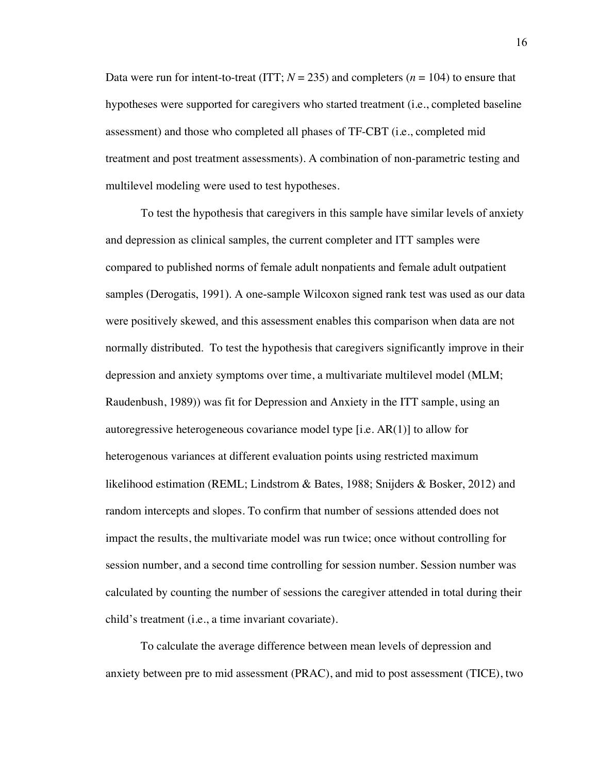Data were run for intent-to-treat (ITT;  $N = 235$ ) and completers ( $n = 104$ ) to ensure that hypotheses were supported for caregivers who started treatment (i.e., completed baseline assessment) and those who completed all phases of TF-CBT (i.e., completed mid treatment and post treatment assessments). A combination of non-parametric testing and multilevel modeling were used to test hypotheses.

To test the hypothesis that caregivers in this sample have similar levels of anxiety and depression as clinical samples, the current completer and ITT samples were compared to published norms of female adult nonpatients and female adult outpatient samples (Derogatis, 1991). A one-sample Wilcoxon signed rank test was used as our data were positively skewed, and this assessment enables this comparison when data are not normally distributed. To test the hypothesis that caregivers significantly improve in their depression and anxiety symptoms over time, a multivariate multilevel model (MLM; Raudenbush, 1989)) was fit for Depression and Anxiety in the ITT sample, using an autoregressive heterogeneous covariance model type [i.e. AR(1)] to allow for heterogenous variances at different evaluation points using restricted maximum likelihood estimation (REML; Lindstrom & Bates, 1988; Snijders & Bosker, 2012) and random intercepts and slopes. To confirm that number of sessions attended does not impact the results, the multivariate model was run twice; once without controlling for session number, and a second time controlling for session number. Session number was calculated by counting the number of sessions the caregiver attended in total during their child's treatment (i.e., a time invariant covariate).

To calculate the average difference between mean levels of depression and anxiety between pre to mid assessment (PRAC), and mid to post assessment (TICE), two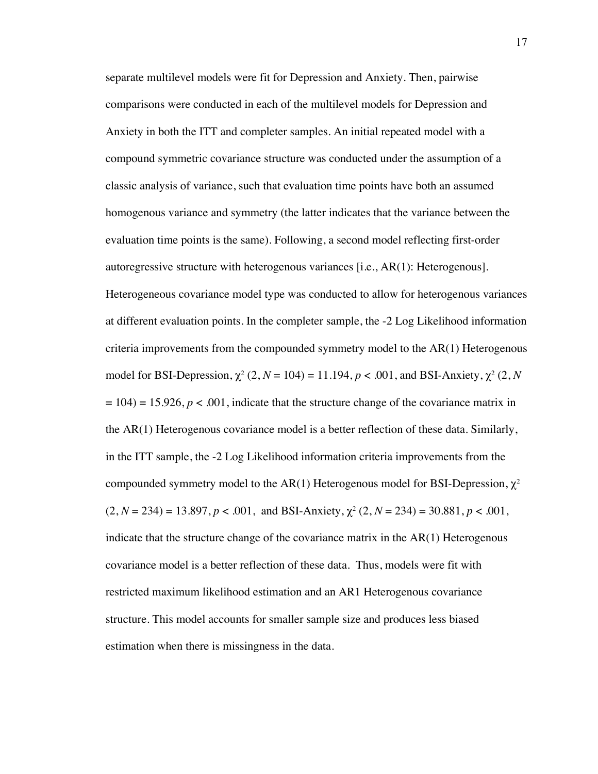separate multilevel models were fit for Depression and Anxiety. Then, pairwise comparisons were conducted in each of the multilevel models for Depression and Anxiety in both the ITT and completer samples. An initial repeated model with a compound symmetric covariance structure was conducted under the assumption of a classic analysis of variance, such that evaluation time points have both an assumed homogenous variance and symmetry (the latter indicates that the variance between the evaluation time points is the same). Following, a second model reflecting first-order autoregressive structure with heterogenous variances [i.e., AR(1): Heterogenous]. Heterogeneous covariance model type was conducted to allow for heterogenous variances at different evaluation points. In the completer sample, the -2 Log Likelihood information criteria improvements from the compounded symmetry model to the AR(1) Heterogenous model for BSI-Depression,  $\chi^2$  (2, *N* = 104) = 11.194, *p* < .001, and BSI-Anxiety,  $\chi^2$  (2, *N*  $= 104$ ) = 15.926,  $p < .001$ , indicate that the structure change of the covariance matrix in the AR(1) Heterogenous covariance model is a better reflection of these data. Similarly, in the ITT sample, the -2 Log Likelihood information criteria improvements from the compounded symmetry model to the AR(1) Heterogenous model for BSI-Depression,  $\chi^2$  $(2, N = 234) = 13.897, p < .001$ , and BSI-Anxiety,  $\chi^2$  (2,  $N = 234$ ) = 30.881,  $p < .001$ , indicate that the structure change of the covariance matrix in the  $AR(1)$  Heterogenous covariance model is a better reflection of these data. Thus, models were fit with restricted maximum likelihood estimation and an AR1 Heterogenous covariance structure. This model accounts for smaller sample size and produces less biased estimation when there is missingness in the data.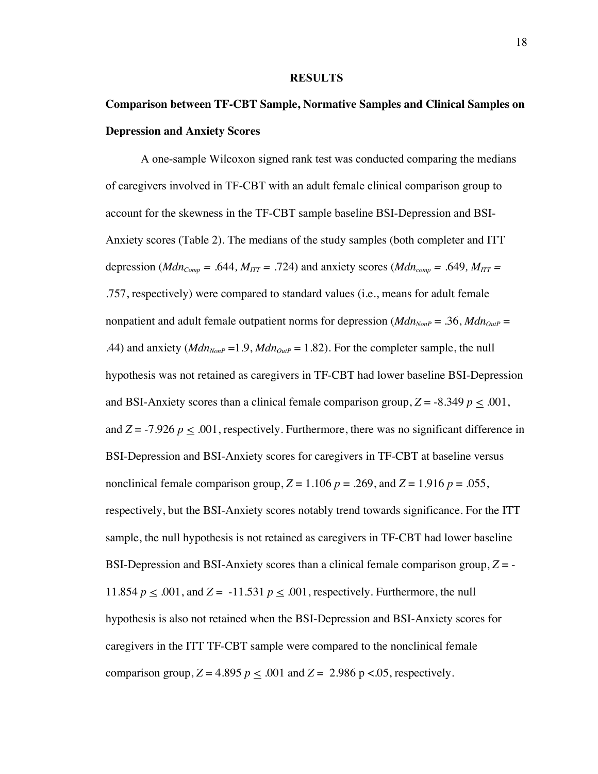#### **RESULTS**

# **Comparison between TF-CBT Sample, Normative Samples and Clinical Samples on Depression and Anxiety Scores**

A one-sample Wilcoxon signed rank test was conducted comparing the medians of caregivers involved in TF-CBT with an adult female clinical comparison group to account for the skewness in the TF-CBT sample baseline BSI-Depression and BSI-Anxiety scores (Table 2). The medians of the study samples (both completer and ITT depression ( $Mdn_{Comp} = .644$ ,  $M_{ITT} = .724$ ) and anxiety scores ( $Mdn_{comp} = .649$ ,  $M_{ITT} =$ .757, respectively) were compared to standard values (i.e., means for adult female nonpatient and adult female outpatient norms for depression ( $Mdn_{NonP} = .36$ ,  $Mdn_{OutP} =$ .44) and anxiety ( $Mdn_{NonP} = 1.9$ ,  $Mdn_{Ouff} = 1.82$ ). For the completer sample, the null hypothesis was not retained as caregivers in TF-CBT had lower baseline BSI-Depression and BSI-Anxiety scores than a clinical female comparison group,  $Z = -8.349$   $p \le .001$ , and  $Z = -7.926$   $p \le 0.001$ , respectively. Furthermore, there was no significant difference in BSI-Depression and BSI-Anxiety scores for caregivers in TF-CBT at baseline versus nonclinical female comparison group,  $Z = 1.106$   $p = .269$ , and  $Z = 1.916$   $p = .055$ , respectively, but the BSI-Anxiety scores notably trend towards significance. For the ITT sample, the null hypothesis is not retained as caregivers in TF-CBT had lower baseline BSI-Depression and BSI-Anxiety scores than a clinical female comparison group, *Z* = - 11.854  $p \leq .001$ , and  $Z = -11.531$   $p \leq .001$ , respectively. Furthermore, the null hypothesis is also not retained when the BSI-Depression and BSI-Anxiety scores for caregivers in the ITT TF-CBT sample were compared to the nonclinical female comparison group,  $Z = 4.895$   $p \le 0.001$  and  $Z = 2.986$  p < 0.05, respectively.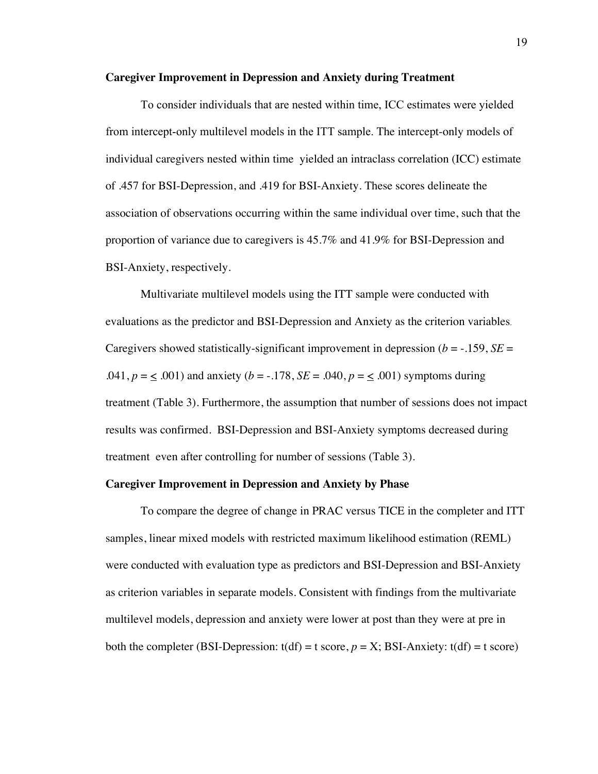#### **Caregiver Improvement in Depression and Anxiety during Treatment**

To consider individuals that are nested within time, ICC estimates were yielded from intercept-only multilevel models in the ITT sample. The intercept-only models of individual caregivers nested within time yielded an intraclass correlation (ICC) estimate of .457 for BSI-Depression, and .419 for BSI-Anxiety. These scores delineate the association of observations occurring within the same individual over time, such that the proportion of variance due to caregivers is 45.7% and 41.9% for BSI-Depression and BSI-Anxiety, respectively.

Multivariate multilevel models using the ITT sample were conducted with evaluations as the predictor and BSI-Depression and Anxiety as the criterion variables. Caregivers showed statistically-significant improvement in depression ( $b = -.159$ ,  $SE =$ .041,  $p = \leq 0.001$ ) and anxiety ( $b = -.178$ ,  $SE = .040$ ,  $p = \leq .001$ ) symptoms during treatment (Table 3). Furthermore, the assumption that number of sessions does not impact results was confirmed. BSI-Depression and BSI-Anxiety symptoms decreased during treatment even after controlling for number of sessions (Table 3).

#### **Caregiver Improvement in Depression and Anxiety by Phase**

To compare the degree of change in PRAC versus TICE in the completer and ITT samples, linear mixed models with restricted maximum likelihood estimation (REML) were conducted with evaluation type as predictors and BSI-Depression and BSI-Anxiety as criterion variables in separate models. Consistent with findings from the multivariate multilevel models, depression and anxiety were lower at post than they were at pre in both the completer (BSI-Depression:  $t(df) = t$  score,  $p = X$ ; BSI-Anxiety:  $t(df) = t$  score)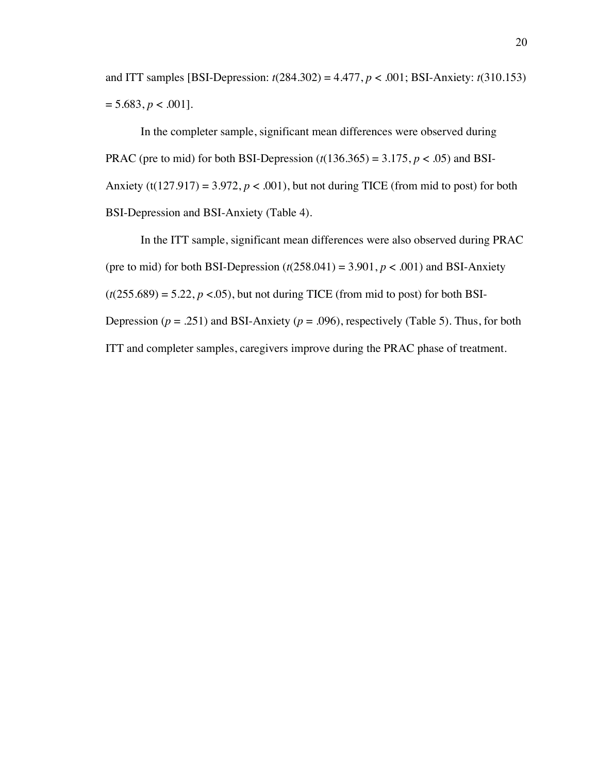and ITT samples [BSI-Depression: *t*(284.302) = 4.477, *p* < .001; BSI-Anxiety: *t*(310.153)  $= 5.683, p < .001$ .

In the completer sample, significant mean differences were observed during PRAC (pre to mid) for both BSI-Depression  $(t(136.365) = 3.175, p < .05)$  and BSI-Anxiety (t(127.917) = 3.972,  $p < .001$ ), but not during TICE (from mid to post) for both BSI-Depression and BSI-Anxiety (Table 4).

In the ITT sample, significant mean differences were also observed during PRAC (pre to mid) for both BSI-Depression  $(t(258.041) = 3.901, p < .001)$  and BSI-Anxiety  $(t(255.689) = 5.22, p < .05)$ , but not during TICE (from mid to post) for both BSI-Depression ( $p = .251$ ) and BSI-Anxiety ( $p = .096$ ), respectively (Table 5). Thus, for both ITT and completer samples, caregivers improve during the PRAC phase of treatment.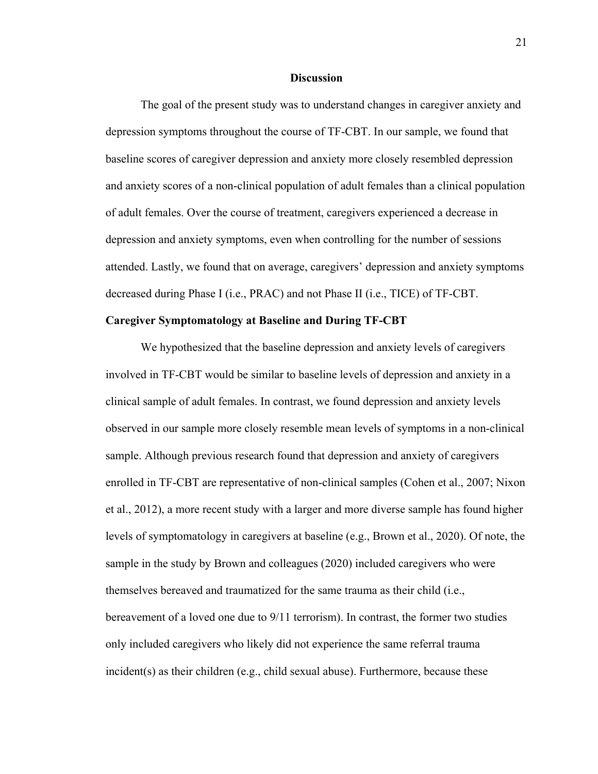#### **Discussion**

The goal of the present study was to understand changes in caregiver anxiety and depression symptoms throughout the course of TF-CBT. In our sample, we found that baseline scores of caregiver depression and anxiety more closely resembled depression and anxiety scores of a non-clinical population of adult females than a clinical population of adult females. Over the course of treatment, caregivers experienced a decrease in depression and anxiety symptoms, even when controlling for the number of sessions attended. Lastly, we found that on average, caregivers' depression and anxiety symptoms decreased during Phase I (i.e., PRAC) and not Phase II (i.e., TICE) of TF-CBT.

#### **Caregiver Symptomatology at Baseline and During TF-CBT**

 We hypothesized that the baseline depression and anxiety levels of caregivers involved in TF-CBT would be similar to baseline levels of depression and anxiety in a clinical sample of adult females. In contrast, we found depression and anxiety levels observed in our sample more closely resemble mean levels of symptoms in a non-clinical sample. Although previous research found that depression and anxiety of caregivers enrolled in TF-CBT are representative of non-clinical samples (Cohen et al., 2007; Nixon et al., 2012), a more recent study with a larger and more diverse sample has found higher levels of symptomatology in caregivers at baseline (e.g., Brown et al., 2020). Of note, the sample in the study by Brown and colleagues (2020) included caregivers who were themselves bereaved and traumatized for the same trauma as their child (i.e., bereavement of a loved one due to 9/11 terrorism). In contrast, the former two studies only included caregivers who likely did not experience the same referral trauma incident(s) as their children (e.g., child sexual abuse). Furthermore, because these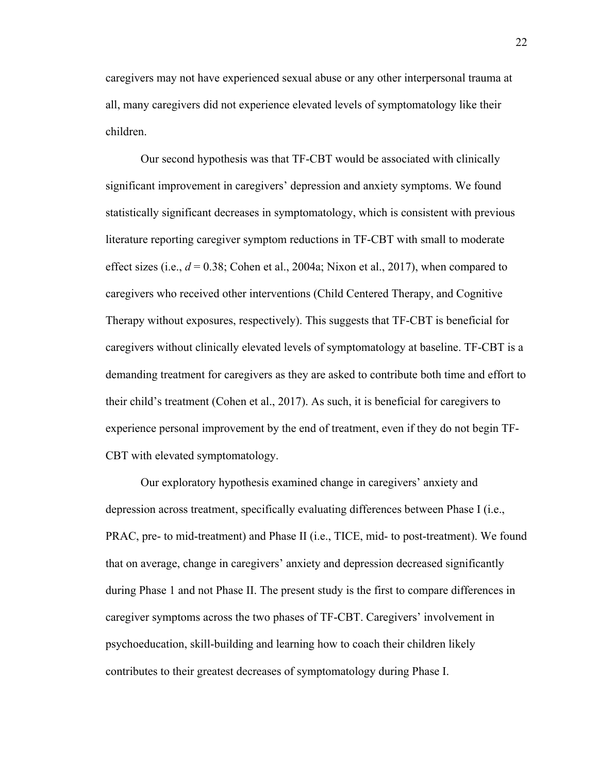caregivers may not have experienced sexual abuse or any other interpersonal trauma at all, many caregivers did not experience elevated levels of symptomatology like their children.

 Our second hypothesis was that TF-CBT would be associated with clinically significant improvement in caregivers' depression and anxiety symptoms. We found statistically significant decreases in symptomatology, which is consistent with previous literature reporting caregiver symptom reductions in TF-CBT with small to moderate effect sizes (i.e., *d* = 0.38; Cohen et al., 2004a; Nixon et al., 2017), when compared to caregivers who received other interventions (Child Centered Therapy, and Cognitive Therapy without exposures, respectively). This suggests that TF-CBT is beneficial for caregivers without clinically elevated levels of symptomatology at baseline. TF-CBT is a demanding treatment for caregivers as they are asked to contribute both time and effort to their child's treatment (Cohen et al., 2017). As such, it is beneficial for caregivers to experience personal improvement by the end of treatment, even if they do not begin TF-CBT with elevated symptomatology.

Our exploratory hypothesis examined change in caregivers' anxiety and depression across treatment, specifically evaluating differences between Phase I (i.e., PRAC, pre- to mid-treatment) and Phase II (i.e., TICE, mid- to post-treatment). We found that on average, change in caregivers' anxiety and depression decreased significantly during Phase 1 and not Phase II. The present study is the first to compare differences in caregiver symptoms across the two phases of TF-CBT. Caregivers' involvement in psychoeducation, skill-building and learning how to coach their children likely contributes to their greatest decreases of symptomatology during Phase I.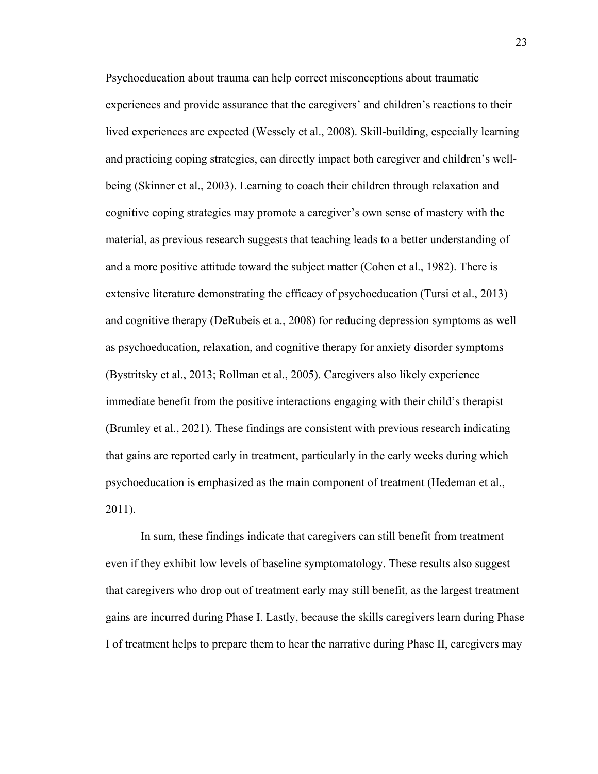Psychoeducation about trauma can help correct misconceptions about traumatic experiences and provide assurance that the caregivers' and children's reactions to their lived experiences are expected (Wessely et al., 2008). Skill-building, especially learning and practicing coping strategies, can directly impact both caregiver and children's wellbeing (Skinner et al., 2003). Learning to coach their children through relaxation and cognitive coping strategies may promote a caregiver's own sense of mastery with the material, as previous research suggests that teaching leads to a better understanding of and a more positive attitude toward the subject matter (Cohen et al., 1982). There is extensive literature demonstrating the efficacy of psychoeducation (Tursi et al., 2013) and cognitive therapy (DeRubeis et a., 2008) for reducing depression symptoms as well as psychoeducation, relaxation, and cognitive therapy for anxiety disorder symptoms (Bystritsky et al., 2013; Rollman et al., 2005). Caregivers also likely experience immediate benefit from the positive interactions engaging with their child's therapist (Brumley et al., 2021). These findings are consistent with previous research indicating that gains are reported early in treatment, particularly in the early weeks during which psychoeducation is emphasized as the main component of treatment (Hedeman et al., 2011).

In sum, these findings indicate that caregivers can still benefit from treatment even if they exhibit low levels of baseline symptomatology. These results also suggest that caregivers who drop out of treatment early may still benefit, as the largest treatment gains are incurred during Phase I. Lastly, because the skills caregivers learn during Phase I of treatment helps to prepare them to hear the narrative during Phase II, caregivers may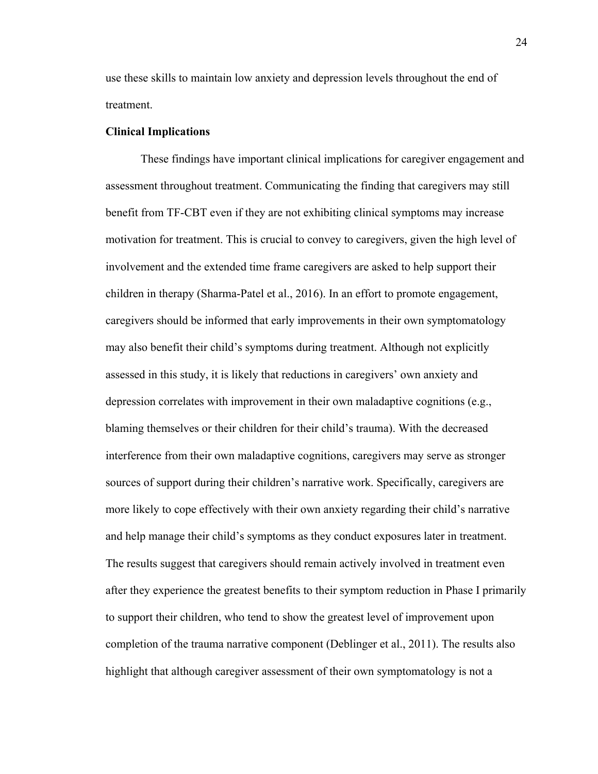use these skills to maintain low anxiety and depression levels throughout the end of treatment.

#### **Clinical Implications**

These findings have important clinical implications for caregiver engagement and assessment throughout treatment. Communicating the finding that caregivers may still benefit from TF-CBT even if they are not exhibiting clinical symptoms may increase motivation for treatment. This is crucial to convey to caregivers, given the high level of involvement and the extended time frame caregivers are asked to help support their children in therapy (Sharma-Patel et al., 2016). In an effort to promote engagement, caregivers should be informed that early improvements in their own symptomatology may also benefit their child's symptoms during treatment. Although not explicitly assessed in this study, it is likely that reductions in caregivers' own anxiety and depression correlates with improvement in their own maladaptive cognitions (e.g., blaming themselves or their children for their child's trauma). With the decreased interference from their own maladaptive cognitions, caregivers may serve as stronger sources of support during their children's narrative work. Specifically, caregivers are more likely to cope effectively with their own anxiety regarding their child's narrative and help manage their child's symptoms as they conduct exposures later in treatment. The results suggest that caregivers should remain actively involved in treatment even after they experience the greatest benefits to their symptom reduction in Phase I primarily to support their children, who tend to show the greatest level of improvement upon completion of the trauma narrative component (Deblinger et al., 2011). The results also highlight that although caregiver assessment of their own symptomatology is not a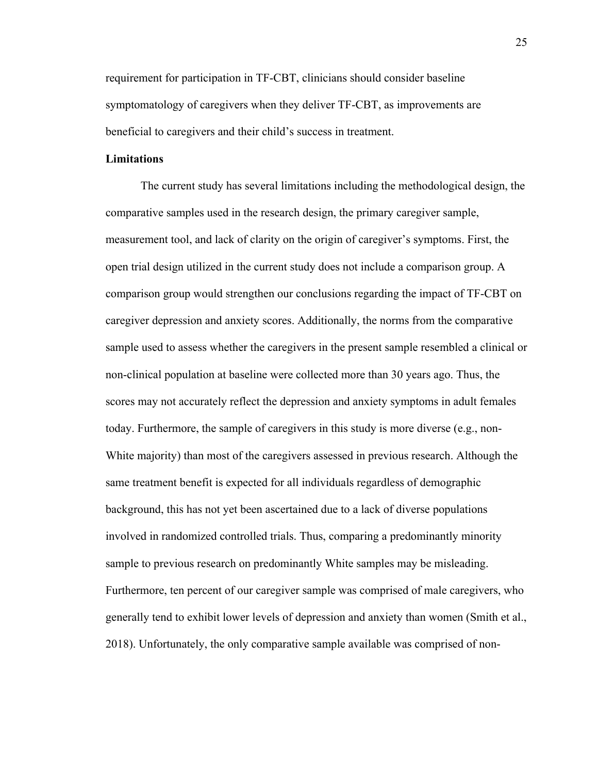requirement for participation in TF-CBT, clinicians should consider baseline symptomatology of caregivers when they deliver TF-CBT, as improvements are beneficial to caregivers and their child's success in treatment.

### **Limitations**

The current study has several limitations including the methodological design, the comparative samples used in the research design, the primary caregiver sample, measurement tool, and lack of clarity on the origin of caregiver's symptoms. First, the open trial design utilized in the current study does not include a comparison group. A comparison group would strengthen our conclusions regarding the impact of TF-CBT on caregiver depression and anxiety scores. Additionally, the norms from the comparative sample used to assess whether the caregivers in the present sample resembled a clinical or non-clinical population at baseline were collected more than 30 years ago. Thus, the scores may not accurately reflect the depression and anxiety symptoms in adult females today. Furthermore, the sample of caregivers in this study is more diverse (e.g., non-White majority) than most of the caregivers assessed in previous research. Although the same treatment benefit is expected for all individuals regardless of demographic background, this has not yet been ascertained due to a lack of diverse populations involved in randomized controlled trials. Thus, comparing a predominantly minority sample to previous research on predominantly White samples may be misleading. Furthermore, ten percent of our caregiver sample was comprised of male caregivers, who generally tend to exhibit lower levels of depression and anxiety than women (Smith et al., 2018). Unfortunately, the only comparative sample available was comprised of non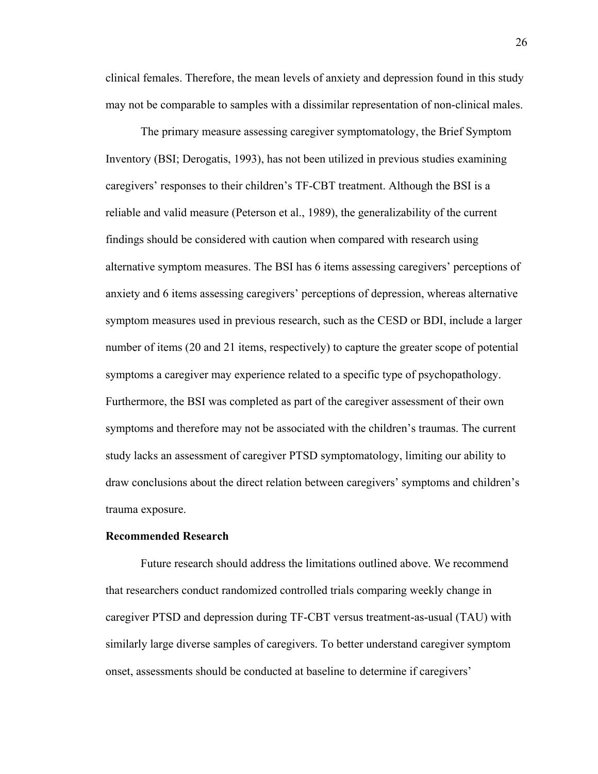clinical females. Therefore, the mean levels of anxiety and depression found in this study may not be comparable to samples with a dissimilar representation of non-clinical males.

The primary measure assessing caregiver symptomatology, the Brief Symptom Inventory (BSI; Derogatis, 1993), has not been utilized in previous studies examining caregivers' responses to their children's TF-CBT treatment. Although the BSI is a reliable and valid measure (Peterson et al., 1989), the generalizability of the current findings should be considered with caution when compared with research using alternative symptom measures. The BSI has 6 items assessing caregivers' perceptions of anxiety and 6 items assessing caregivers' perceptions of depression, whereas alternative symptom measures used in previous research, such as the CESD or BDI, include a larger number of items (20 and 21 items, respectively) to capture the greater scope of potential symptoms a caregiver may experience related to a specific type of psychopathology. Furthermore, the BSI was completed as part of the caregiver assessment of their own symptoms and therefore may not be associated with the children's traumas. The current study lacks an assessment of caregiver PTSD symptomatology, limiting our ability to draw conclusions about the direct relation between caregivers' symptoms and children's trauma exposure.

#### **Recommended Research**

 Future research should address the limitations outlined above. We recommend that researchers conduct randomized controlled trials comparing weekly change in caregiver PTSD and depression during TF-CBT versus treatment-as-usual (TAU) with similarly large diverse samples of caregivers. To better understand caregiver symptom onset, assessments should be conducted at baseline to determine if caregivers'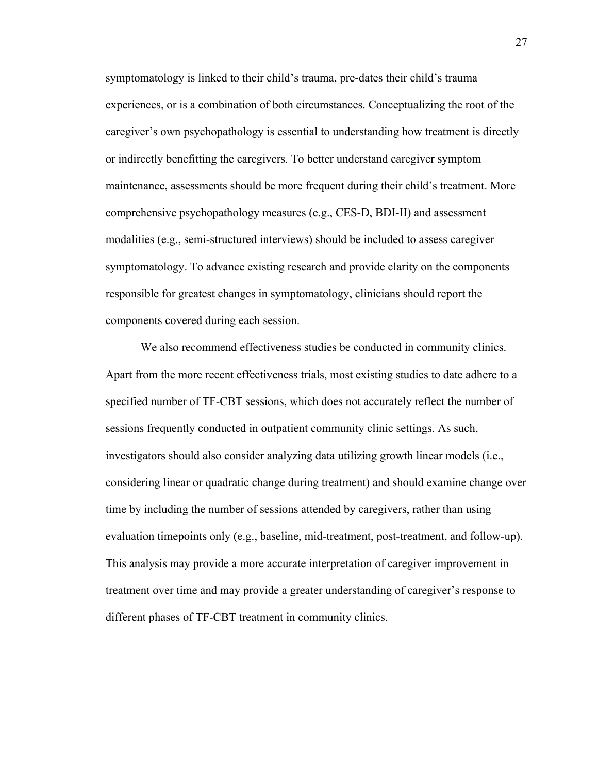symptomatology is linked to their child's trauma, pre-dates their child's trauma experiences, or is a combination of both circumstances. Conceptualizing the root of the caregiver's own psychopathology is essential to understanding how treatment is directly or indirectly benefitting the caregivers. To better understand caregiver symptom maintenance, assessments should be more frequent during their child's treatment. More comprehensive psychopathology measures (e.g., CES-D, BDI-II) and assessment modalities (e.g., semi-structured interviews) should be included to assess caregiver symptomatology. To advance existing research and provide clarity on the components responsible for greatest changes in symptomatology, clinicians should report the components covered during each session.

We also recommend effectiveness studies be conducted in community clinics. Apart from the more recent effectiveness trials, most existing studies to date adhere to a specified number of TF-CBT sessions, which does not accurately reflect the number of sessions frequently conducted in outpatient community clinic settings. As such, investigators should also consider analyzing data utilizing growth linear models (i.e., considering linear or quadratic change during treatment) and should examine change over time by including the number of sessions attended by caregivers, rather than using evaluation timepoints only (e.g., baseline, mid-treatment, post-treatment, and follow-up). This analysis may provide a more accurate interpretation of caregiver improvement in treatment over time and may provide a greater understanding of caregiver's response to different phases of TF-CBT treatment in community clinics.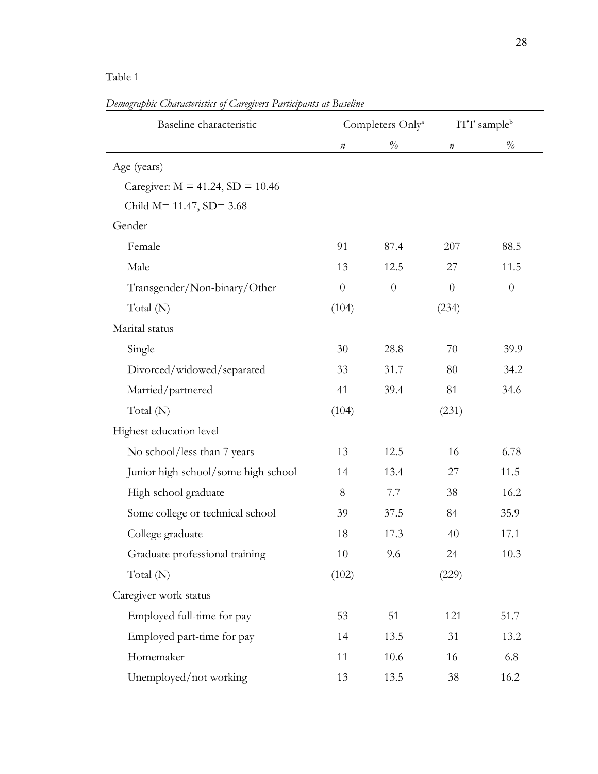# Table 1

| Baseline characteristic               |          | Completers Only <sup>a</sup> |          | ITT sample <sup>b</sup> |
|---------------------------------------|----------|------------------------------|----------|-------------------------|
|                                       | $\it n$  | $\%$                         | $\it n$  | $\%$                    |
| Age (years)                           |          |                              |          |                         |
| Caregiver: $M = 41.24$ , $SD = 10.46$ |          |                              |          |                         |
| Child $M = 11.47$ , $SD = 3.68$       |          |                              |          |                         |
| Gender                                |          |                              |          |                         |
| Female                                | 91       | 87.4                         | 207      | 88.5                    |
| Male                                  | 13       | 12.5                         | 27       | 11.5                    |
| Transgender/Non-binary/Other          | $\theta$ | $\theta$                     | $\theta$ | $\theta$                |
| Total (N)                             | (104)    |                              | (234)    |                         |
| Marital status                        |          |                              |          |                         |
| Single                                | 30       | 28.8                         | 70       | 39.9                    |
| Divorced/widowed/separated            | 33       | 31.7                         | 80       | 34.2                    |
| Married/partnered                     | 41       | 39.4                         | 81       | 34.6                    |
| Total (N)                             | (104)    |                              | (231)    |                         |
| Highest education level               |          |                              |          |                         |
| No school/less than 7 years           | 13       | 12.5                         | 16       | 6.78                    |
| Junior high school/some high school   | 14       | 13.4                         | 27       | 11.5                    |
| High school graduate                  | 8        | 7.7                          | 38       | 16.2                    |
| Some college or technical school      | 39       | 37.5                         | 84       | 35.9                    |
| College graduate                      | 18       | 17.3                         | 40       | 17.1                    |
| Graduate professional training        | 10       | 9.6                          | 24       | 10.3                    |
| Total (N)                             | (102)    |                              | (229)    |                         |
| Caregiver work status                 |          |                              |          |                         |
| Employed full-time for pay            | 53       | 51                           | 121      | 51.7                    |
| Employed part-time for pay            | 14       | 13.5                         | 31       | 13.2                    |
| Homemaker                             | 11       | 10.6                         | 16       | 6.8                     |
| Unemployed/not working                | 13       | 13.5                         | 38       | 16.2                    |

*Demographic Characteristics of Caregivers Participants at Baseline*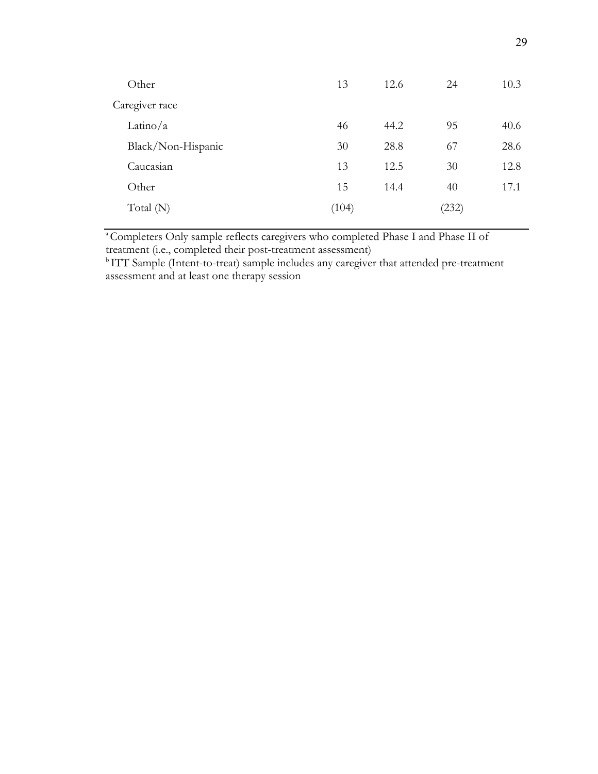| Other              | 13    | 12.6 | 24    | 10.3 |
|--------------------|-------|------|-------|------|
| Caregiver race     |       |      |       |      |
| Latino/a           | 46    | 44.2 | 95    | 40.6 |
| Black/Non-Hispanic | 30    | 28.8 | 67    | 28.6 |
| Caucasian          | 13    | 12.5 | 30    | 12.8 |
| Other              | 15    | 14.4 | 40    | 17.1 |
| Total $(N)$        | (104) |      | (232) |      |
|                    |       |      |       |      |

<sup>a</sup>Completers Only sample reflects caregivers who completed Phase I and Phase II of treatment (i.e., completed their post-treatment assessment)

<sup>b</sup>ITT Sample (Intent-to-treat) sample includes any caregiver that attended pre-treatment assessment and at least one therapy session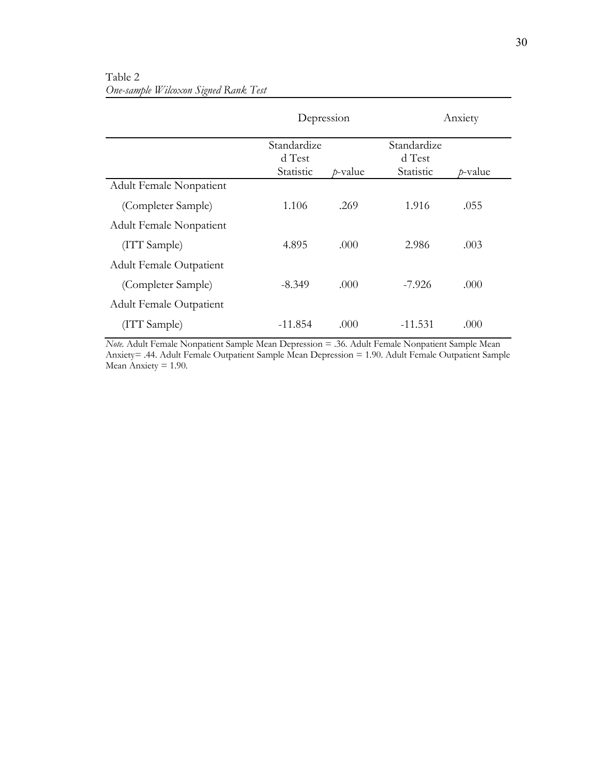|                                |                                    | Depression | Anxiety                            |            |  |
|--------------------------------|------------------------------------|------------|------------------------------------|------------|--|
|                                | Standardize<br>d Test<br>Statistic | $p$ -value | Standardize<br>d Test<br>Statistic | $p$ -value |  |
| Adult Female Nonpatient        |                                    |            |                                    |            |  |
| (Completer Sample)             | 1.106                              | .269       | 1.916                              | .055       |  |
| Adult Female Nonpatient        |                                    |            |                                    |            |  |
| (ITT Sample)                   | 4.895                              | .000       | 2.986                              | .003       |  |
| <b>Adult Female Outpatient</b> |                                    |            |                                    |            |  |
| (Completer Sample)             | $-8.349$                           | .000       | $-7.926$                           | .000       |  |
| <b>Adult Female Outpatient</b> |                                    |            |                                    |            |  |
| (ITT Sample)                   | $-11.854$                          | .000       | $-11.531$                          | .000       |  |

Table 2 *One-sample Wilcoxon Signed Rank Test*

*Note.* Adult Female Nonpatient Sample Mean Depression = .36. Adult Female Nonpatient Sample Mean Anxiety= .44. Adult Female Outpatient Sample Mean Depression = 1.90. Adult Female Outpatient Sample Mean Anxiety  $= 1.90$ .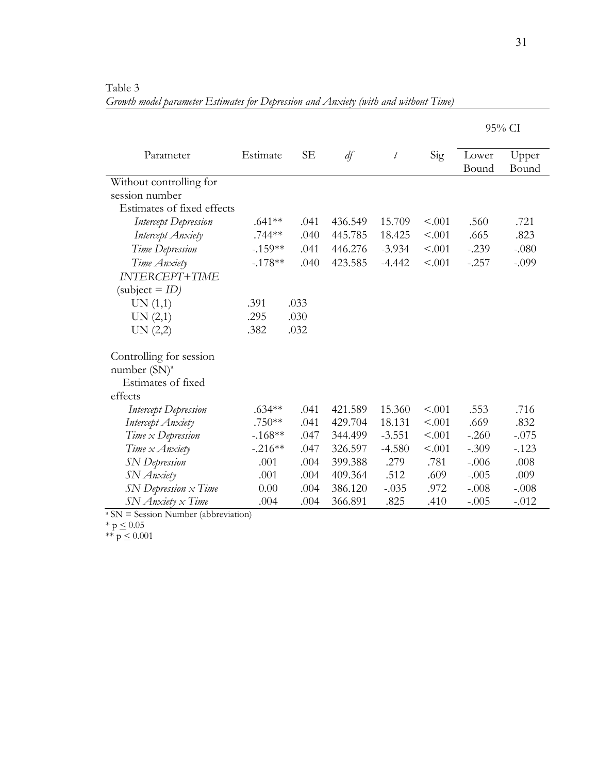Table 3 *Growth model parameter Estimates for Depression and Anxiety (with and without Time)*

|                                            |           |           |         |                 |        |                | 95% CI         |
|--------------------------------------------|-----------|-----------|---------|-----------------|--------|----------------|----------------|
| Parameter                                  | Estimate  | <b>SE</b> | df      | $t\overline{ }$ | Sig    | Lower<br>Bound | Upper<br>Bound |
| Without controlling for                    |           |           |         |                 |        |                |                |
| session number                             |           |           |         |                 |        |                |                |
| Estimates of fixed effects                 |           |           |         |                 |        |                |                |
| <b>Intercept Depression</b>                | $.641**$  | .041      | 436.549 | 15.709          | < .001 | .560           | .721           |
| Intercept Anxiety                          | .744**    | .040      | 445.785 | 18.425          | < .001 | .665           | .823           |
| Time Depression                            | $-.159**$ | .041      | 446.276 | $-3.934$        | < .001 | $-.239$        | $-.080$        |
| Time Anxiety                               | $-.178**$ | .040      | 423.585 | $-4.442$        | < .001 | $-.257$        | $-.099$        |
| <b>INTERCEPT+TIME</b>                      |           |           |         |                 |        |                |                |
| $(subject = ID)$                           |           |           |         |                 |        |                |                |
| UN(1,1)                                    | .391      | .033      |         |                 |        |                |                |
| UN (2,1)                                   | .295      | .030      |         |                 |        |                |                |
| UN (2,2)                                   | .382      | .032      |         |                 |        |                |                |
| Controlling for session<br>number $(SN)^a$ |           |           |         |                 |        |                |                |
| Estimates of fixed                         |           |           |         |                 |        |                |                |
| effects                                    |           |           |         |                 |        |                |                |
| Intercept Depression                       | $.634**$  | .041      | 421.589 | 15.360          | < .001 | .553           | .716           |
| Intercept Anxiety                          | $.750**$  | .041      | 429.704 | 18.131          | < .001 | .669           | .832           |
| Time $x$ Depression                        | $-168**$  | .047      | 344.499 | $-3.551$        | < .001 | $-.260$        | $-.075$        |
| Time x Anxiety                             | $-.216**$ | .047      | 326.597 | $-4.580$        | < .001 | $-.309$        | $-123$         |
| <b>SN</b> Depression                       | .001      | .004      | 399.388 | .279            | .781   | $-.006$        | .008           |
| SN Anxiety                                 | .001      | .004      | 409.364 | .512            | .609   | $-.005$        | .009           |
| $SN$ Depression $x$ Time                   | 0.00      | .004      | 386.120 | $-.035$         | .972   | $-.008$        | $-.008$        |
| SN Anxiety x Time                          | .004      | .004      | 366.891 | .825            | .410   | $-.005$        | $-.012$        |

<sup>a</sup> SN = Session Number (abbreviation)

\*  $p \le 0.05$ 

\*\*  $p \le 0.001$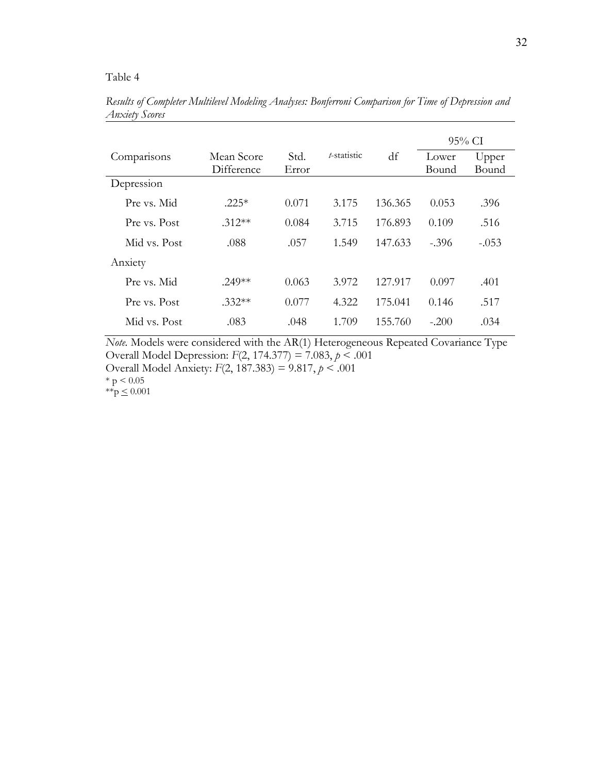## Table 4

|              |            |       |             |         |         | 95% CI  |
|--------------|------------|-------|-------------|---------|---------|---------|
| Comparisons  | Mean Score | Std.  | t-statistic | df      | Lower   | Upper   |
|              | Difference | Error |             |         | Bound   | Bound   |
| Depression   |            |       |             |         |         |         |
| Pre vs. Mid  | $.225*$    | 0.071 | 3.175       | 136.365 | 0.053   | .396    |
| Pre vs. Post | $.312**$   | 0.084 | 3.715       | 176.893 | 0.109   | .516    |
| Mid vs. Post | .088       | .057  | 1.549       | 147.633 | $-.396$ | $-.053$ |
| Anxiety      |            |       |             |         |         |         |
| Pre vs. Mid  | $.249**$   | 0.063 | 3.972       | 127.917 | 0.097   | .401    |
| Pre vs. Post | $.332**$   | 0.077 | 4.322       | 175.041 | 0.146   | .517    |
| Mid vs. Post | .083       | .048  | 1.709       | 155.760 | $-.200$ | .034    |

*Results of Completer Multilevel Modeling Analyses: Bonferroni Comparison for Time of Depression and Anxiety Scores* 

*Note.* Models were considered with the AR(1) Heterogeneous Repeated Covariance Type Overall Model Depression: *F*(2, 174.377) = 7.083, *p* < .001 Overall Model Anxiety: *F*(2, 187.383) = 9.817, *p* < .001

 $*$  p  $< 0.05$  $*^{*}p \leq 0.001$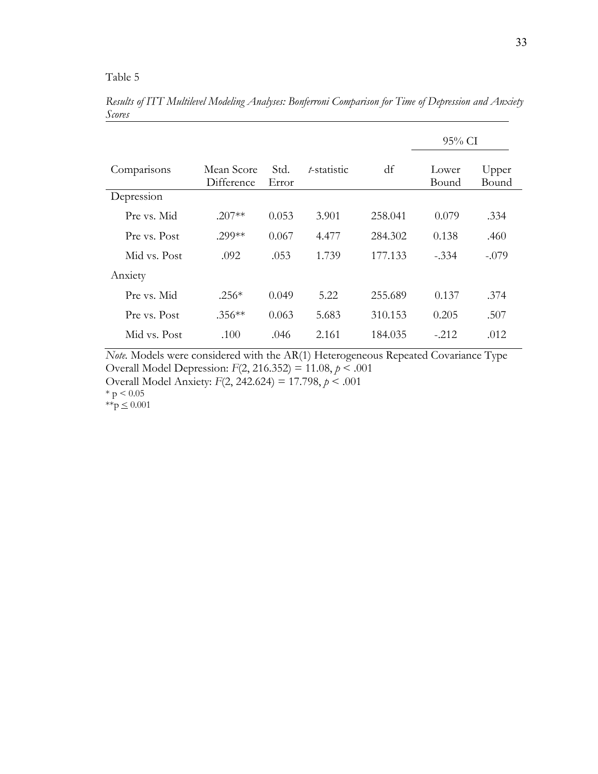|              |                          |               |             |         | $95\%$ CI      |                |  |
|--------------|--------------------------|---------------|-------------|---------|----------------|----------------|--|
| Comparisons  | Mean Score<br>Difference | Std.<br>Error | t-statistic | df      | Lower<br>Bound | Upper<br>Bound |  |
| Depression   |                          |               |             |         |                |                |  |
| Pre vs. Mid  | $.207**$                 | 0.053         | 3.901       | 258.041 | 0.079          | .334           |  |
| Pre vs. Post | .299**                   | 0.067         | 4.477       | 284.302 | 0.138          | .460           |  |
| Mid vs. Post | .092                     | .053          | 1.739       | 177.133 | $-.334$        | $-.079$        |  |
| Anxiety      |                          |               |             |         |                |                |  |
| Pre vs. Mid  | $.256*$                  | 0.049         | 5.22        | 255.689 | 0.137          | .374           |  |
| Pre vs. Post | $.356**$                 | 0.063         | 5.683       | 310.153 | 0.205          | .507           |  |
| Mid vs. Post | .100                     | .046          | 2.161       | 184.035 | $-.212$        | .012           |  |

*Results of ITT Multilevel Modeling Analyses: Bonferroni Comparison for Time of Depression and Anxiety Scores* 

*Note.* Models were considered with the AR(1) Heterogeneous Repeated Covariance Type Overall Model Depression: *F*(2, 216.352) = 11.08, *p* < .001

Overall Model Anxiety: *F*(2, 242.624) = 17.798, *p* < .001

 $* p < 0.05$ 

\*\*p  $\leq 0.001$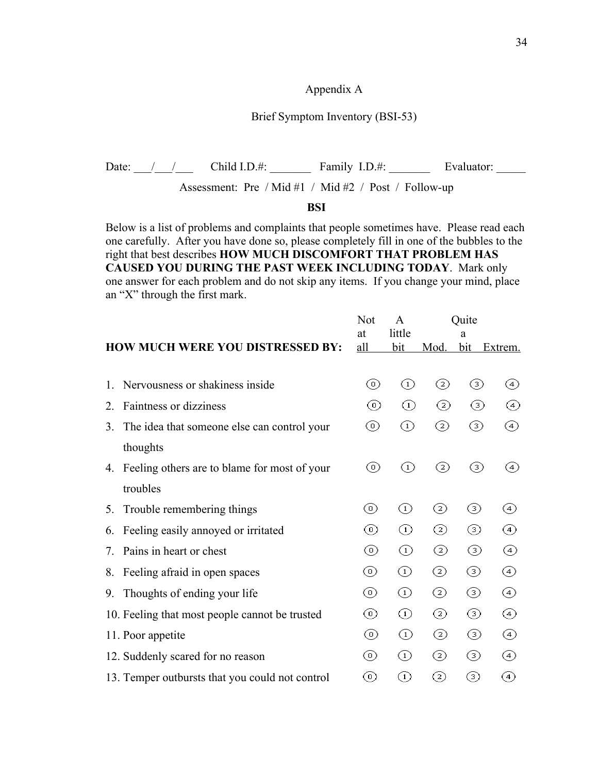#### Appendix A

#### Brief Symptom Inventory (BSI-53)

Date:  $\frac{1}{2}$  / Child I.D.#: Family I.D.#: Evaluator:

Assessment: Pre / Mid #1 / Mid #2 / Post / Follow-up

#### **BSI**

Below is a list of problems and complaints that people sometimes have. Please read each one carefully. After you have done so, please completely fill in one of the bubbles to the right that best describes **HOW MUCH DISCOMFORT THAT PROBLEM HAS CAUSED YOU DURING THE PAST WEEK INCLUDING TODAY**. Mark only one answer for each problem and do not skip any items. If you change your mind, place an "X" through the first mark.

|    | HOW MUCH WERE YOU DISTRESSED BY:                | Not<br>at<br>all | A<br>little<br>bit             | Mod.     | Ouite<br>a<br>bit | Extrem.            |
|----|-------------------------------------------------|------------------|--------------------------------|----------|-------------------|--------------------|
|    |                                                 |                  |                                |          |                   |                    |
| 1. | Nervousness or shakiness inside                 | ⊙)               | $^{\rm (1)}$                   | $^{(2)}$ | ☉                 | $\left( 4 \right)$ |
| 2. | Faintness or dizziness                          | ⊚                | $^{\rm (1)}$                   | $^{(2)}$ | ☉                 | (4)                |
| 3. | The idea that someone else can control your     | ⊚                | ⊙                              | ◎        | ⊚                 | (4)                |
|    | thoughts                                        |                  |                                |          |                   |                    |
| 4. | Feeling others are to blame for most of your    | ⊚                | ⊙                              | $^{(2)}$ | ③                 | (4)                |
|    | troubles                                        |                  |                                |          |                   |                    |
| 5. | Trouble remembering things                      | ⊙)               | $\textcircled{\scriptsize{1}}$ | ⊘        | ☉                 | $\left( 4\right)$  |
| 6. | Feeling easily annoyed or irritated             | ⊙                | ⊙                              | ☺        | ☉                 | (4)                |
| 7. | Pains in heart or chest                         | ⊙                | ⊙                              | ◎        | ⊚                 | 4                  |
| 8. | Feeling afraid in open spaces                   | ⊚                | ⊙                              | ☺        | ☺                 | ④                  |
| 9. | Thoughts of ending your life                    | ⊚                | ⊙                              | ☺        | ☺                 | ④                  |
|    | 10. Feeling that most people cannot be trusted  | ⊚                | ⊙                              | ◎        | ☺                 | ④                  |
|    | 11. Poor appetite                               | ⊚                | ⊙                              | ◎        | ☉                 | 4                  |
|    | 12. Suddenly scared for no reason               | ⊚                | ⊙                              | ☺        | ☉                 | 4                  |
|    | 13. Temper outbursts that you could not control | ⊙)               | ⊙                              | ⊘        | ☉                 | 4                  |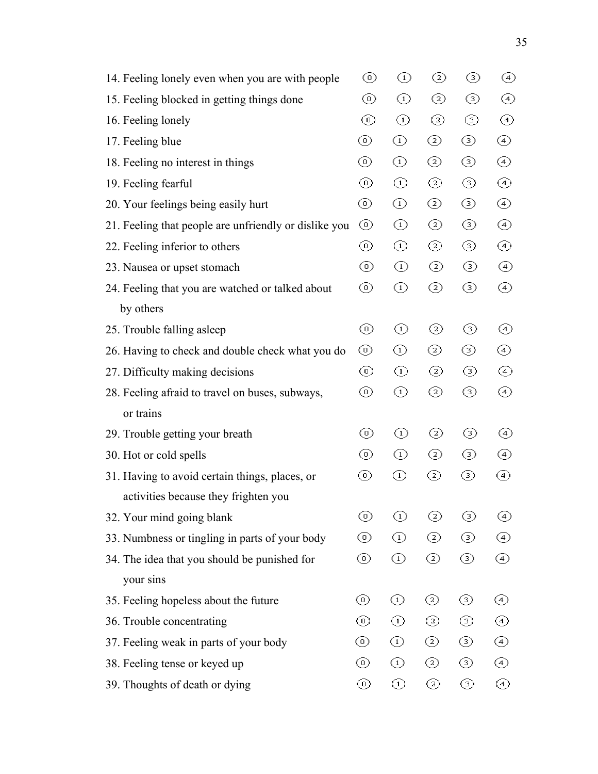| 14. Feeling lonely even when you are with people      | ⊚  | ⊙               | ◎ | ☉ | $\circled{4}$ |
|-------------------------------------------------------|----|-----------------|---|---|---------------|
| 15. Feeling blocked in getting things done            | ⊚  | ⊙               | ◎ | ☺ | ④             |
| 16. Feeling lonely                                    | ⊚  | ⊙               | ☺ | ☺ | ④             |
| 17. Feeling blue                                      | ⊚  | ⊙               | ☺ | ⊚ | ④             |
| 18. Feeling no interest in things                     | ⊚  | ⊙               | ◎ | ⊚ | ④             |
| 19. Feeling fearful                                   | ⊚  | $^{\copyright}$ | ◎ | ⊚ | ④             |
| 20. Your feelings being easily hurt                   | ⊚  | ⊙               | ◎ | ⊚ | ④             |
| 21. Feeling that people are unfriendly or dislike you | ⊚  | $^{\copyright}$ | ☺ | ☺ | ④             |
| 22. Feeling inferior to others                        | ⊚  | $\odot$         | ◎ | ⊚ | ④             |
| 23. Nausea or upset stomach                           | ⊚  | ⊙               | ☺ | ⊚ | ④             |
| 24. Feeling that you are watched or talked about      | ⊚  | ⊙               | ☺ | ⊚ | ④             |
| by others                                             |    |                 |   |   |               |
| 25. Trouble falling asleep                            | ⊚  | ⊙               | ☺ | ☺ | ④             |
| 26. Having to check and double check what you do      | ⊚  | ⊙               | ◎ | ⊚ | ④             |
| 27. Difficulty making decisions                       | ⊚  | ⊙               | ☺ | ☉ | ④             |
| 28. Feeling afraid to travel on buses, subways,       | ⊚  | ⊙               | ☺ | ⊚ | ④             |
| or trains                                             |    |                 |   |   |               |
| 29. Trouble getting your breath                       | ⊙  | ⊙               | ☺ | ⊚ | ④             |
| 30. Hot or cold spells                                | ⊚  | ⊙               | ◎ | ⊚ | ④             |
| 31. Having to avoid certain things, places, or        | ⊚  | ⊙               | ⊘ | ⊚ | ④             |
| activities because they frighten you                  |    |                 |   |   |               |
| 32. Your mind going blank                             | ⊚  | ⊙               | ◎ | ⊚ | ④             |
| 33. Numbness or tingling in parts of your body        | ⊙  | ⊙               | ☺ | ⊚ | ④             |
| 34. The idea that you should be punished for          | ⊚  | ⊙               | ☺ | ⊚ | ④             |
| your sins                                             |    |                 |   |   |               |
| 35. Feeling hopeless about the future                 | ⊚  | ⊙               | ☺ | ☉ | ④             |
| 36. Trouble concentrating                             | ⊚  | ⊙               | ◎ | ☉ | ④             |
| 37. Feeling weak in parts of your body                | ⊙) | ⊙               | ☺ | ☺ | ④             |
| 38. Feeling tense or keyed up                         | ⊚  | ⊙               | ☺ | ⊚ | ④             |
| 39. Thoughts of death or dying                        | ⊚  | ⊙               | ☺ | ☉ | ◈             |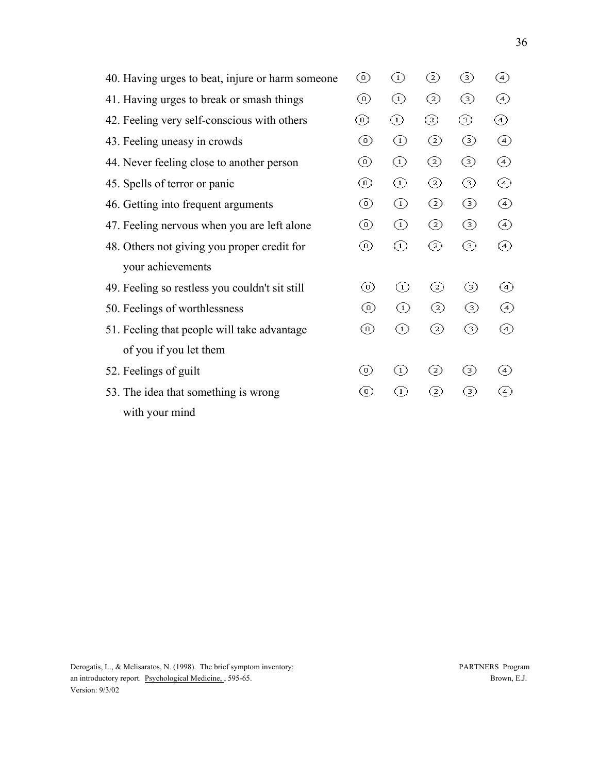| 40. Having urges to beat, injure or harm someone | (0) | $_{(1)}$     | ②              | ⊚   | ④                  |
|--------------------------------------------------|-----|--------------|----------------|-----|--------------------|
| 41. Having urges to break or smash things        | ⊙   | ⊙            | ☺              | ☉   | ④                  |
| 42. Feeling very self-conscious with others      | ⊚   | ⊙            | ◎              | ⊚   | ④                  |
| 43. Feeling uneasy in crowds                     | ⊚   | ⊙            | ☺              | ⊚   | ④                  |
| 44. Never feeling close to another person        | ⊚   | ⊙            | ☺              | ☉   | ④                  |
| 45. Spells of terror or panic                    | ⊚   | ⊙            | ☺              | ⊚   | ④                  |
| 46. Getting into frequent arguments              | ⊚   | ⊙            | ◎              | ⊚   | (4)                |
| 47. Feeling nervous when you are left alone      | ⊙   | ⊙            | ◎              | ☉   | ④                  |
| 48. Others not giving you proper credit for      | ⊚   | ⊕            | $\odot$        | ☺   | (4)                |
| your achievements                                |     |              |                |     |                    |
| 49. Feeling so restless you couldn't sit still   | ⊚   | $\rm _{(1)}$ | $^{(2)}$       | 3)  | (4)                |
| 50. Feelings of worthlessness                    | ⊚   | ⊙            | ②              | ③   | (4)                |
| 51. Feeling that people will take advantage      | ⊚   | ⊙            | $\rm{(\rm 2)}$ | (3) | (4)                |
| of you if you let them                           |     |              |                |     |                    |
| 52. Feelings of guilt                            | (0) | $_{(1)}$     | V              | ☉   | $\left( 4 \right)$ |
| 53. The idea that something is wrong             | 0)  | ⊙            | ⊘              | ⊚   | $\left( 4 \right)$ |
| with your mind                                   |     |              |                |     |                    |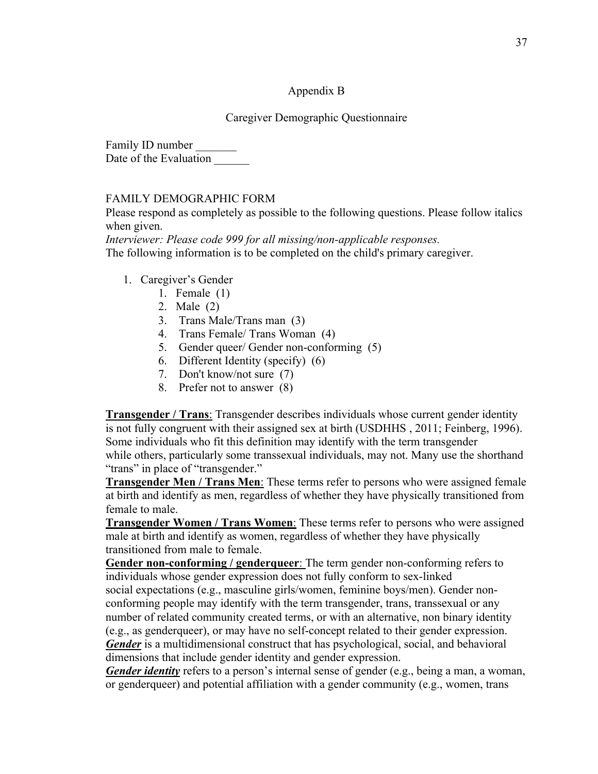# Appendix B

# Caregiver Demographic Questionnaire

Family ID number Date of the Evaluation

## FAMILY DEMOGRAPHIC FORM

Please respond as completely as possible to the following questions. Please follow italics when given.

*Interviewer: Please code 999 for all missing/non-applicable responses.* The following information is to be completed on the child's primary caregiver.

- 1. Caregiver's Gender
	- 1. Female (1)
	- 2. Male (2)
	- 3. Trans Male/Trans man (3)
	- 4. Trans Female/ Trans Woman (4)
	- 5. Gender queer/ Gender non-conforming (5)
	- 6. Different Identity (specify) (6)
	- 7. Don't know/not sure (7)
	- 8. Prefer not to answer (8)

**Transgender / Trans**: Transgender describes individuals whose current gender identity is not fully congruent with their assigned sex at birth (USDHHS , 2011; Feinberg, 1996). Some individuals who fit this definition may identify with the term transgender while others, particularly some transsexual individuals, may not. Many use the shorthand "trans" in place of "transgender."

**Transgender Men / Trans Men**: These terms refer to persons who were assigned female at birth and identify as men, regardless of whether they have physically transitioned from female to male.

**Transgender Women / Trans Women**: These terms refer to persons who were assigned male at birth and identify as women, regardless of whether they have physically transitioned from male to female.

**Gender non-conforming / genderqueer**: The term gender non-conforming refers to individuals whose gender expression does not fully conform to sex-linked social expectations (e.g., masculine girls/women, feminine boys/men). Gender nonconforming people may identify with the term transgender, trans, transsexual or any number of related community created terms, or with an alternative, non binary identity (e.g., as genderqueer), or may have no self-concept related to their gender expression. *Gender* is a multidimensional construct that has psychological, social, and behavioral dimensions that include gender identity and gender expression.

*Gender identity* refers to a person's internal sense of gender (e.g., being a man, a woman, or genderqueer) and potential affiliation with a gender community (e.g., women, trans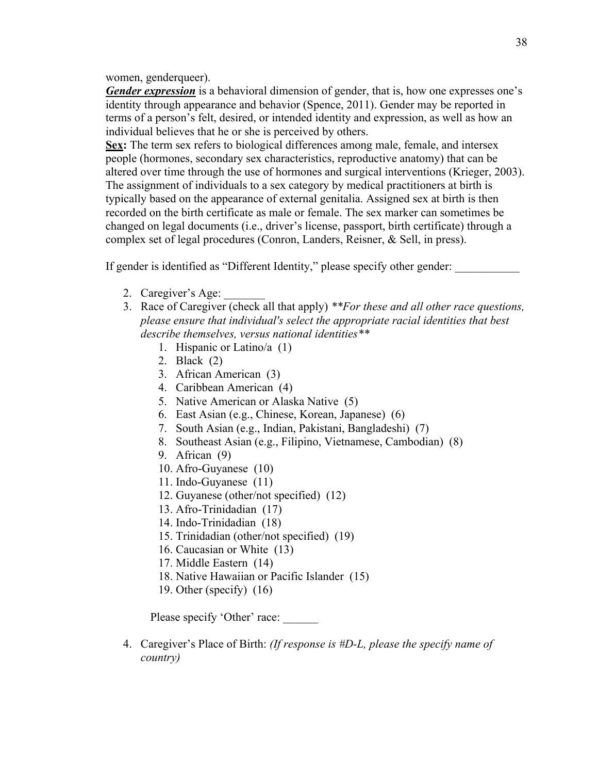#### women, genderqueer).

*Gender expression* is a behavioral dimension of gender, that is, how one expresses one's identity through appearance and behavior (Spence, 2011). Gender may be reported in terms of a person's felt, desired, or intended identity and expression, as well as how an individual believes that he or she is perceived by others.

**Sex:** The term sex refers to biological differences among male, female, and intersex people (hormones, secondary sex characteristics, reproductive anatomy) that can be altered over time through the use of hormones and surgical interventions (Krieger, 2003). The assignment of individuals to a sex category by medical practitioners at birth is typically based on the appearance of external genitalia. Assigned sex at birth is then recorded on the birth certificate as male or female. The sex marker can sometimes be changed on legal documents (i.e., driver's license, passport, birth certificate) through a complex set of legal procedures (Conron, Landers, Reisner, & Sell, in press).

If gender is identified as "Different Identity," please specify other gender:

- 2. Caregiver's Age:
- 3. Race of Caregiver (check all that apply) *\*\*For these and all other race questions, please ensure that individual's select the appropriate racial identities that best describe themselves, versus national identities\*\**
	- 1. Hispanic or Latino/a (1)
	- 2. Black (2)
	- 3. African American (3)
	- 4. Caribbean American (4)
	- 5. Native American or Alaska Native (5)
	- 6. East Asian (e.g., Chinese, Korean, Japanese) (6)
	- 7. South Asian (e.g., Indian, Pakistani, Bangladeshi) (7)
	- 8. Southeast Asian (e.g., Filipino, Vietnamese, Cambodian) (8)
	- 9. African (9)
	- 10. Afro-Guyanese (10)
	- 11. Indo-Guyanese (11)
	- 12. Guyanese (other/not specified) (12)
	- 13. Afro-Trinidadian (17)
	- 14. Indo-Trinidadian (18)
	- 15. Trinidadian (other/not specified) (19)
	- 16. Caucasian or White (13)
	- 17. Middle Eastern (14)
	- 18. Native Hawaiian or Pacific Islander (15)
	- 19. Other (specify) (16)

Please specify 'Other' race:

4. Caregiver's Place of Birth: *(If response is #D-L, please the specify name of country)*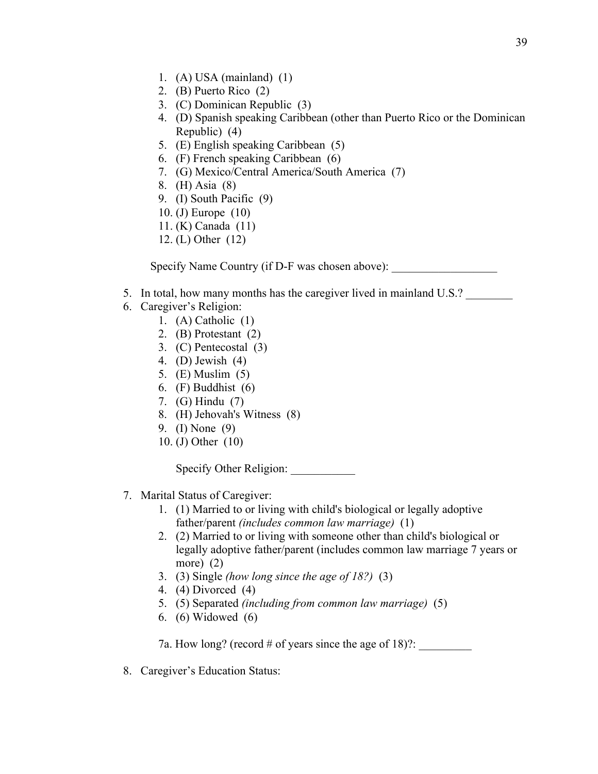- 1. (A) USA (mainland) (1)
- 2. (B) Puerto Rico (2)
- 3. (C) Dominican Republic (3)
- 4. (D) Spanish speaking Caribbean (other than Puerto Rico or the Dominican Republic) (4)
- 5. (E) English speaking Caribbean (5)
- 6. (F) French speaking Caribbean (6)
- 7. (G) Mexico/Central America/South America (7)
- 8. (H) Asia (8)
- 9. (I) South Pacific (9)
- 10. (J) Europe (10)
- 11. (K) Canada (11)
- 12. (L) Other (12)

Specify Name Country (if D-F was chosen above):

- 5. In total, how many months has the caregiver lived in mainland U.S.?
- 6. Caregiver's Religion:
	- 1. (A) Catholic (1)
	- 2. (B) Protestant (2)
	- 3. (C) Pentecostal (3)
	- 4. (D) Jewish (4)
	- 5. (E) Muslim (5)
	- 6. (F) Buddhist (6)
	- 7. (G) Hindu (7)
	- 8. (H) Jehovah's Witness (8)
	- 9. (I) None (9)
	- 10. (J) Other (10)

Specify Other Religion:

- 7. Marital Status of Caregiver:
	- 1. (1) Married to or living with child's biological or legally adoptive father/parent *(includes common law marriage)* (1)
	- 2. (2) Married to or living with someone other than child's biological or legally adoptive father/parent (includes common law marriage 7 years or more) (2)
	- 3. (3) Single *(how long since the age of 18?)* (3)
	- 4. (4) Divorced (4)
	- 5. (5) Separated *(including from common law marriage)* (5)
	- 6. (6) Widowed (6)

7a. How long? (record # of years since the age of 18)?:

8. Caregiver's Education Status: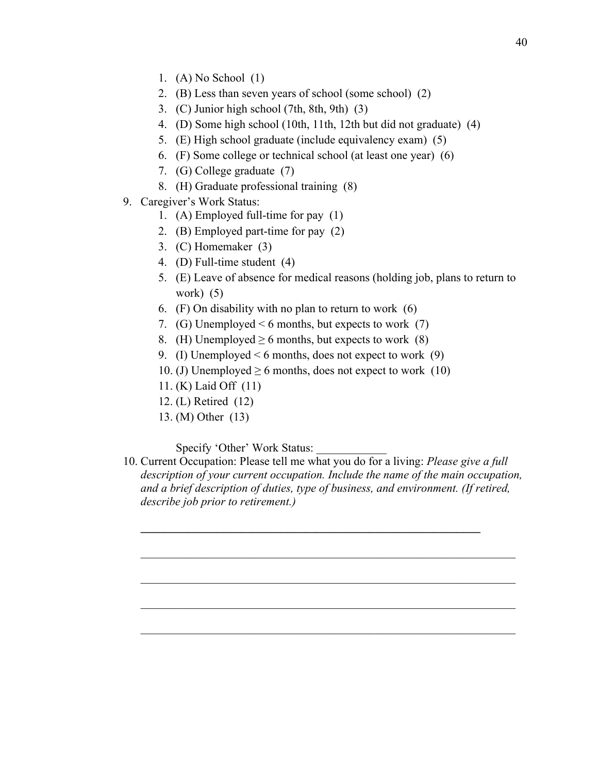- 1. (A) No School (1)
- 2. (B) Less than seven years of school (some school) (2)
- 3. (C) Junior high school (7th, 8th, 9th) (3)
- 4. (D) Some high school (10th, 11th, 12th but did not graduate) (4)
- 5. (E) High school graduate (include equivalency exam) (5)
- 6. (F) Some college or technical school (at least one year) (6)
- 7. (G) College graduate (7)
- 8. (H) Graduate professional training (8)
- 9. Caregiver's Work Status:
	- 1. (A) Employed full-time for pay (1)
	- 2. (B) Employed part-time for pay (2)
	- 3. (C) Homemaker (3)
	- 4. (D) Full-time student (4)
	- 5. (E) Leave of absence for medical reasons (holding job, plans to return to work) (5)
	- 6. (F) On disability with no plan to return to work (6)
	- 7. (G) Unemployed  $\leq 6$  months, but expects to work (7)
	- 8. (H) Unemployed  $\geq 6$  months, but expects to work (8)
	- 9. (I) Unemployed  $\leq 6$  months, does not expect to work (9)
	- 10. (J) Unemployed  $\geq 6$  months, does not expect to work (10)
	- 11. (K) Laid Off (11)
	- 12. (L) Retired (12)
	- 13. (M) Other (13)

Specify 'Other' Work Status:

10. Current Occupation: Please tell me what you do for a living: *Please give a full description of your current occupation. Include the name of the main occupation, and a brief description of duties, type of business, and environment. (If retired, describe job prior to retirement.)*

 $\mathcal{L}_\mathcal{L} = \mathcal{L}_\mathcal{L} = \mathcal{L}_\mathcal{L} = \mathcal{L}_\mathcal{L} = \mathcal{L}_\mathcal{L} = \mathcal{L}_\mathcal{L} = \mathcal{L}_\mathcal{L} = \mathcal{L}_\mathcal{L} = \mathcal{L}_\mathcal{L} = \mathcal{L}_\mathcal{L} = \mathcal{L}_\mathcal{L} = \mathcal{L}_\mathcal{L} = \mathcal{L}_\mathcal{L} = \mathcal{L}_\mathcal{L} = \mathcal{L}_\mathcal{L} = \mathcal{L}_\mathcal{L} = \mathcal{L}_\mathcal{L}$ 

**\_\_\_\_\_\_\_\_\_\_\_\_\_\_\_\_\_\_\_\_\_\_\_\_\_\_\_\_\_\_\_\_\_\_\_\_\_\_\_\_\_\_\_\_\_\_\_\_\_\_\_\_\_\_\_\_\_\_**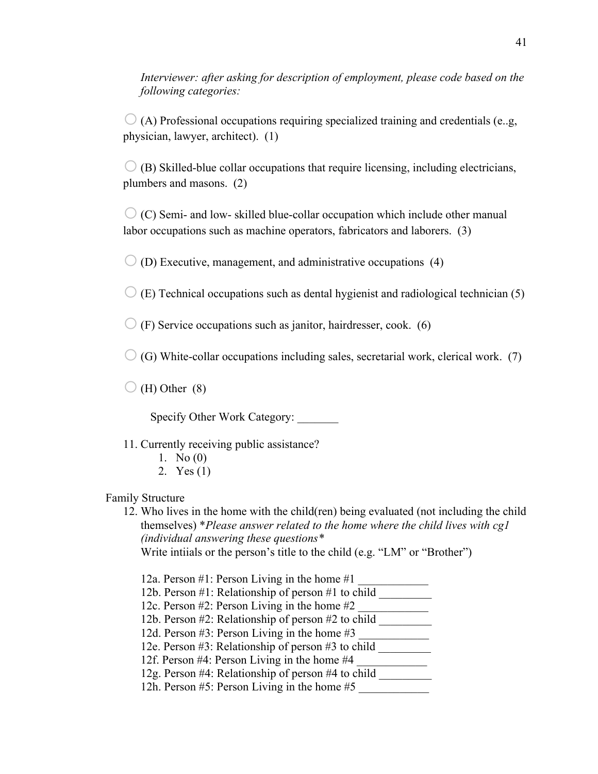*Interviewer: after asking for description of employment, please code based on the following categories:*

 $\bigcirc$  (A) Professional occupations requiring specialized training and credentials (e.g. physician, lawyer, architect). (1)

 $\bigcirc$  (B) Skilled-blue collar occupations that require licensing, including electricians, plumbers and masons. (2)

 $\circ$  (C) Semi- and low- skilled blue-collar occupation which include other manual labor occupations such as machine operators, fabricators and laborers. (3)

 $\bigcirc$  (D) Executive, management, and administrative occupations (4)

 $\bigcirc$  (E) Technical occupations such as dental hygienist and radiological technician (5)

 $\bigcirc$  (F) Service occupations such as janitor, hairdresser, cook. (6)

 $\bigcirc$  (G) White-collar occupations including sales, secretarial work, clerical work. (7)

 $\bigcirc$  (H) Other (8)

Specify Other Work Category:

11. Currently receiving public assistance?

- 1. No (0)
- 2. Yes (1)

## Family Structure

12. Who lives in the home with the child(ren) being evaluated (not including the child themselves) \**Please answer related to the home where the child lives with cg1 (individual answering these questions\** Write intiials or the person's title to the child (e.g. "LM" or "Brother")

12a. Person #1: Person Living in the home #1

- 12b. Person #1: Relationship of person #1 to child
- 12c. Person #2: Person Living in the home #2
- 12b. Person #2: Relationship of person #2 to child \_\_\_\_\_\_\_\_\_
- 12d. Person  $\#3$ : Person Living in the home  $\#3$
- 12e. Person #3: Relationship of person #3 to child
- 12f. Person #4: Person Living in the home #4
- 12g. Person #4: Relationship of person #4 to child \_\_\_\_\_\_\_\_\_
- 12h. Person #5: Person Living in the home #5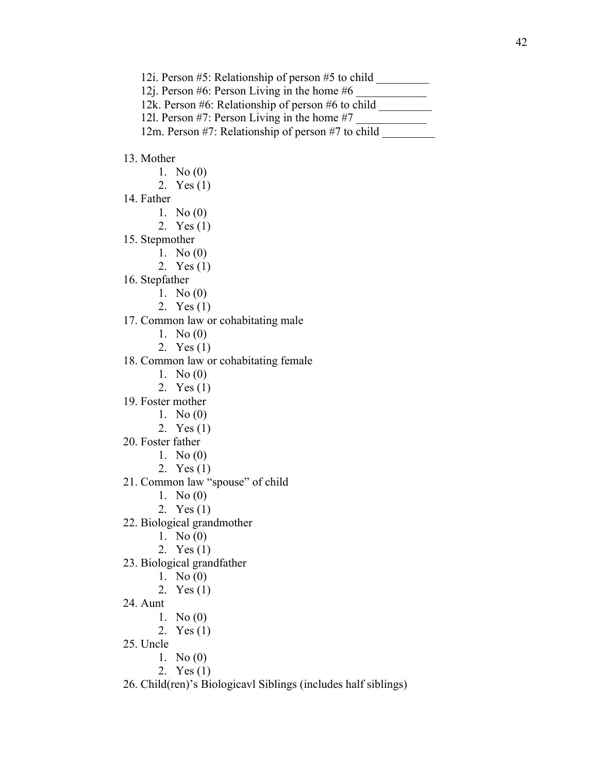12i. Person #5: Relationship of person #5 to child

12j. Person #6: Person Living in the home #6

12k. Person #6: Relationship of person #6 to child \_\_\_\_\_\_\_\_\_

12l. Person  $#7$ : Person Living in the home  $#7$ 

12m. Person #7: Relationship of person #7 to child

## 13. Mother

- 1. No (0)
- 2. Yes (1)
- 14. Father
	- 1. No (0)
	- 2. Yes (1)
- 15. Stepmother
	- 1. No (0)
		- 2. Yes (1)
- 16. Stepfather
	- 1. No (0)
	- 2. Yes (1)
- 17. Common law or cohabitating male
	- 1. No (0)
	- 2. Yes (1)

18. Common law or cohabitating female

- 1. No (0)
- 2. Yes (1)
- 19. Foster mother
	- 1. No (0)
	- 2. Yes (1)
- 20. Foster father
	- 1. No (0)
	- 2. Yes (1)
- 21. Common law "spouse" of child
	- 1. No (0)
	- 2. Yes (1)
- 22. Biological grandmother
	- 1. No (0)
	- 2. Yes (1)
- 23. Biological grandfather
	- 1. No (0)
	- 2. Yes (1)
- 24. Aunt
	- 1. No (0)
	- 2. Yes (1)
- 25. Uncle
	- 1. No (0)
	- 2. Yes (1)
- 26. Child(ren)'s Biologicavl Siblings (includes half siblings)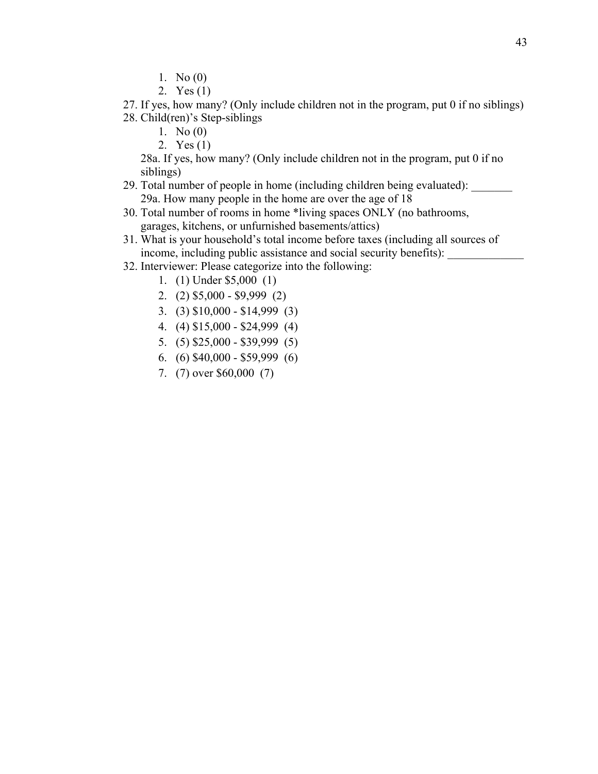- 1. No (0)
- 2. Yes (1)

27. If yes, how many? (Only include children not in the program, put 0 if no siblings) 28. Child(ren)'s Step-siblings

- 1. No (0)
- 2. Yes (1)

28a. If yes, how many? (Only include children not in the program, put 0 if no siblings)

- 29. Total number of people in home (including children being evaluated): 29a. How many people in the home are over the age of 18
- 30. Total number of rooms in home \*living spaces ONLY (no bathrooms, garages, kitchens, or unfurnished basements/attics)
- 31. What is your household's total income before taxes (including all sources of income, including public assistance and social security benefits):
- 32. Interviewer: Please categorize into the following:
	- 1. (1) Under \$5,000 (1)
	- 2. (2) \$5,000 \$9,999 (2)
	- 3. (3) \$10,000 \$14,999 (3)
	- 4. (4) \$15,000 \$24,999 (4)
	- 5. (5) \$25,000 \$39,999 (5)
	- 6. (6) \$40,000 \$59,999 (6)
	- 7. (7) over \$60,000 (7)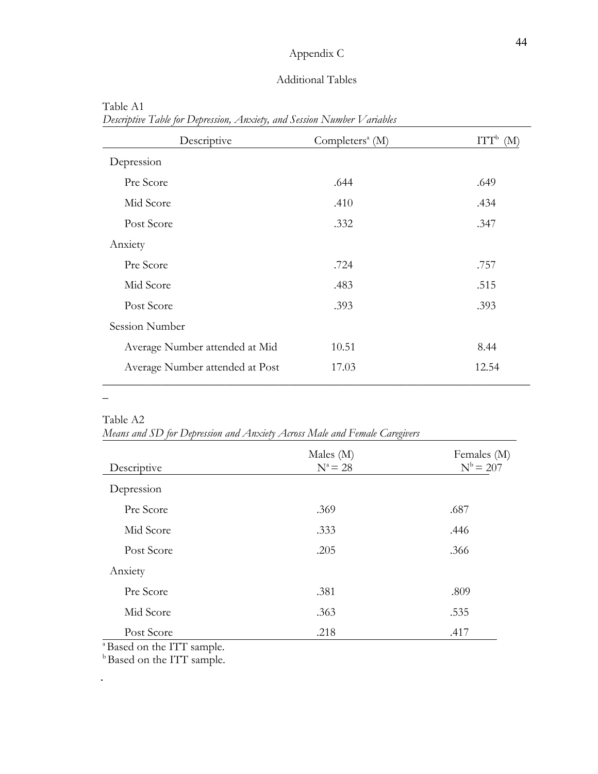# Appendix C

# Additional Tables

| Descriptive                     | Completers <sup><math>a</math></sup> (M) | ITT <sub>b</sub><br>(M <sub>1</sub> ) |
|---------------------------------|------------------------------------------|---------------------------------------|
| Depression                      |                                          |                                       |
| Pre Score                       | .644                                     | .649                                  |
| Mid Score                       | .410                                     | .434                                  |
| Post Score                      | .332                                     | .347                                  |
| Anxiety                         |                                          |                                       |
| Pre Score                       | .724                                     | .757                                  |
| Mid Score                       | .483                                     | .515                                  |
| Post Score                      | .393                                     | .393                                  |
| Session Number                  |                                          |                                       |
| Average Number attended at Mid  | 10.51                                    | 8.44                                  |
| Average Number attended at Post | 17.03                                    | 12.54                                 |

Table A1 *Descriptive Table for Depression, Anxiety, and Session Number Variables*

Table A2

\_

 $\overline{\phantom{a}}$ 

*Means and SD for Depression and Anxiety Across Male and Female Caregivers*

| Descriptive | Males $(M)$<br>$N^a = 28$ | Females (M)<br>$N^b = 207$ |  |
|-------------|---------------------------|----------------------------|--|
| Depression  |                           |                            |  |
| Pre Score   | .369                      | .687                       |  |
| Mid Score   | .333                      | .446                       |  |
| Post Score  | .205                      | .366                       |  |
| Anxiety     |                           |                            |  |
| Pre Score   | .381                      | .809                       |  |
| Mid Score   | .363                      | .535                       |  |
| Post Score  | .218                      | .417                       |  |

<sup>a</sup>Based on the ITT sample.

**b** Based on the ITT sample.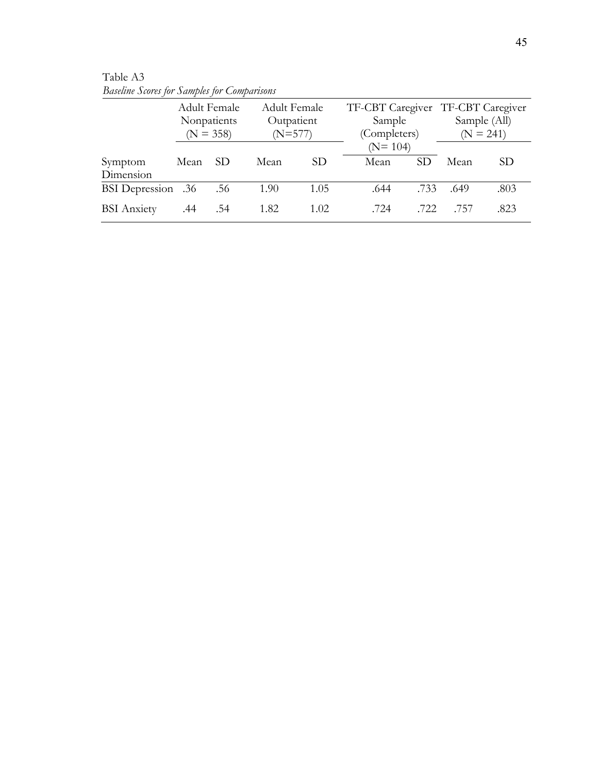|                           |                 | <b>Adult Female</b>                               |                 |                         |    |                                       |                                                   |
|---------------------------|-----------------|---------------------------------------------------|-----------------|-------------------------|----|---------------------------------------|---------------------------------------------------|
|                           |                 |                                                   |                 |                         |    |                                       | Sample (All)                                      |
|                           |                 |                                                   |                 |                         |    |                                       | $(N = 241)$                                       |
|                           |                 |                                                   |                 |                         |    |                                       |                                                   |
| Mean                      | SD <sub>-</sub> | Mean                                              | SD <sub>1</sub> | Mean                    | SD | Mean                                  | <b>SD</b>                                         |
|                           |                 |                                                   |                 |                         |    |                                       |                                                   |
| <b>BSI</b> Depression .36 | .56             | 1.90                                              | 1.05            | .644                    |    | .649                                  | .803                                              |
| .44                       | .54             | 1.82                                              | 1.02            | .724                    |    | .757                                  | .823                                              |
|                           |                 | <b>Adult Female</b><br>Nonpatients<br>$(N = 358)$ |                 | Outpatient<br>$(N=577)$ |    | Sample<br>(Completers)<br>$(N = 104)$ | TF-CBT Caregiver TF-CBT Caregiver<br>.733<br>.722 |

Table A3 *Baseline Scores for Samples for Comparisons*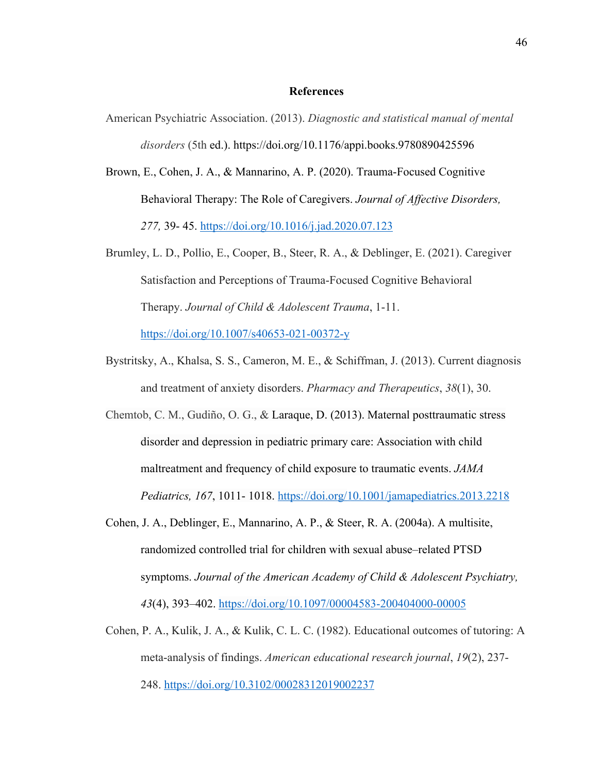#### **References**

- American Psychiatric Association. (2013). *Diagnostic and statistical manual of mental disorders* (5th ed.). https://doi.org/10.1176/appi.books.9780890425596
- Brown, E., Cohen, J. A., & Mannarino, A. P. (2020). Trauma-Focused Cognitive Behavioral Therapy: The Role of Caregivers. *Journal of Affective Disorders, 277,* 39- 45. https://doi.org/10.1016/j.jad.2020.07.123
- Brumley, L. D., Pollio, E., Cooper, B., Steer, R. A., & Deblinger, E. (2021). Caregiver Satisfaction and Perceptions of Trauma-Focused Cognitive Behavioral Therapy. *Journal of Child & Adolescent Trauma*, 1-11. https://doi.org/10.1007/s40653-021-00372-y
- Bystritsky, A., Khalsa, S. S., Cameron, M. E., & Schiffman, J. (2013). Current diagnosis and treatment of anxiety disorders. *Pharmacy and Therapeutics*, *38*(1), 30.
- Chemtob, C. M., Gudiño, O. G., & Laraque, D. (2013). Maternal posttraumatic stress disorder and depression in pediatric primary care: Association with child maltreatment and frequency of child exposure to traumatic events. *JAMA Pediatrics, 167*, 1011- 1018. https://doi.org/10.1001/jamapediatrics.2013.2218
- Cohen, J. A., Deblinger, E., Mannarino, A. P., & Steer, R. A. (2004a). A multisite, randomized controlled trial for children with sexual abuse–related PTSD symptoms. *Journal of the American Academy of Child & Adolescent Psychiatry, 43*(4), 393–402. https://doi.org/10.1097/00004583-200404000-00005
- Cohen, P. A., Kulik, J. A., & Kulik, C. L. C. (1982). Educational outcomes of tutoring: A meta-analysis of findings. *American educational research journal*, *19*(2), 237- 248. https://doi.org/10.3102/00028312019002237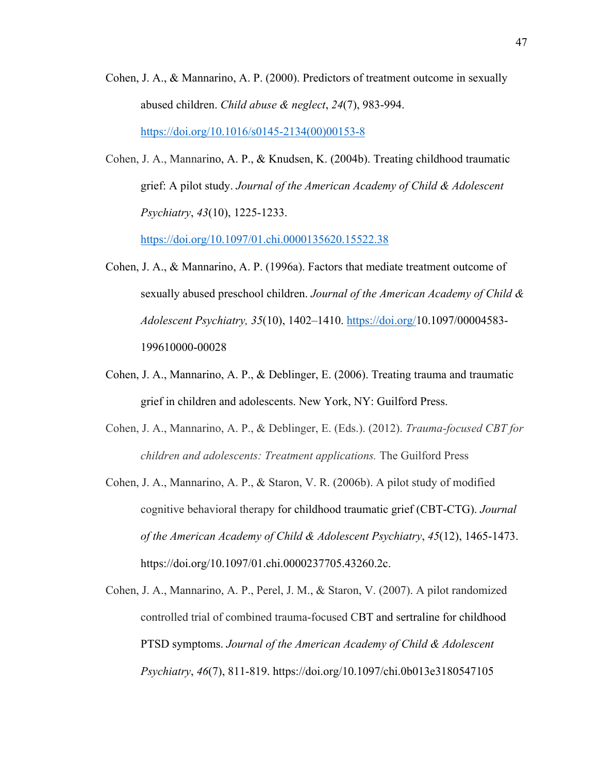- Cohen, J. A., & Mannarino, A. P. (2000). Predictors of treatment outcome in sexually abused children. *Child abuse & neglect*, *24*(7), 983-994. https://doi.org/10.1016/s0145-2134(00)00153-8
- Cohen, J. A., Mannarino, A. P., & Knudsen, K. (2004b). Treating childhood traumatic grief: A pilot study. *Journal of the American Academy of Child & Adolescent Psychiatry*, *43*(10), 1225-1233.

https://doi.org/10.1097/01.chi.0000135620.15522.38

- Cohen, J. A., & Mannarino, A. P. (1996a). Factors that mediate treatment outcome of sexually abused preschool children. *Journal of the American Academy of Child & Adolescent Psychiatry, 35*(10), 1402–1410. https://doi.org/10.1097/00004583- 199610000-00028
- Cohen, J. A., Mannarino, A. P., & Deblinger, E. (2006). Treating trauma and traumatic grief in children and adolescents. New York, NY: Guilford Press.
- Cohen, J. A., Mannarino, A. P., & Deblinger, E. (Eds.). (2012). *Trauma-focused CBT for children and adolescents: Treatment applications.* The Guilford Press
- Cohen, J. A., Mannarino, A. P., & Staron, V. R. (2006b). A pilot study of modified cognitive behavioral therapy for childhood traumatic grief (CBT-CTG). *Journal of the American Academy of Child & Adolescent Psychiatry*, *45*(12), 1465-1473. https://doi.org/10.1097/01.chi.0000237705.43260.2c.
- Cohen, J. A., Mannarino, A. P., Perel, J. M., & Staron, V. (2007). A pilot randomized controlled trial of combined trauma-focused CBT and sertraline for childhood PTSD symptoms. *Journal of the American Academy of Child & Adolescent Psychiatry*, *46*(7), 811-819. https://doi.org/10.1097/chi.0b013e3180547105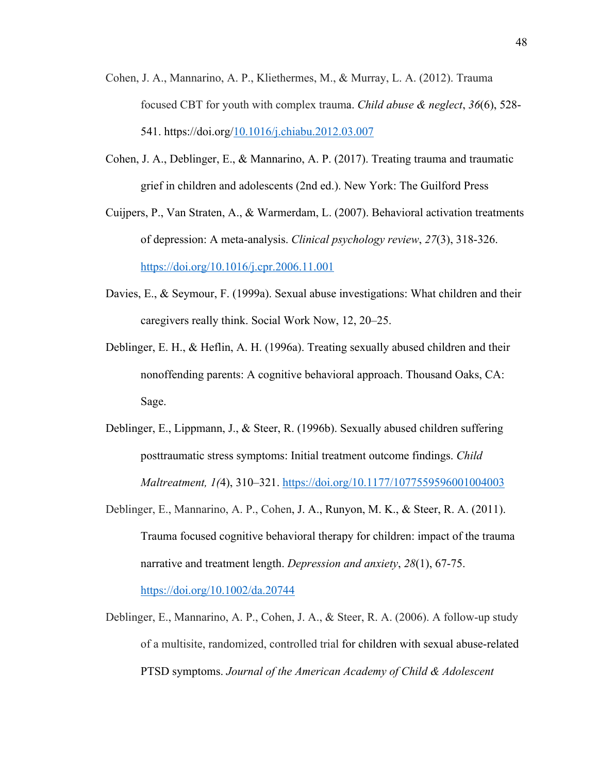- Cohen, J. A., Mannarino, A. P., Kliethermes, M., & Murray, L. A. (2012). Trauma focused CBT for youth with complex trauma. *Child abuse & neglect*, *36*(6), 528- 541. https://doi.org/10.1016/j.chiabu.2012.03.007
- Cohen, J. A., Deblinger, E., & Mannarino, A. P. (2017). Treating trauma and traumatic grief in children and adolescents (2nd ed.). New York: The Guilford Press
- Cuijpers, P., Van Straten, A., & Warmerdam, L. (2007). Behavioral activation treatments of depression: A meta-analysis. *Clinical psychology review*, *27*(3), 318-326. https://doi.org/10.1016/j.cpr.2006.11.001
- Davies, E., & Seymour, F. (1999a). Sexual abuse investigations: What children and their caregivers really think. Social Work Now, 12, 20–25.
- Deblinger, E. H., & Heflin, A. H. (1996a). Treating sexually abused children and their nonoffending parents: A cognitive behavioral approach. Thousand Oaks, CA: Sage.
- Deblinger, E., Lippmann, J., & Steer, R. (1996b). Sexually abused children suffering posttraumatic stress symptoms: Initial treatment outcome findings. *Child Maltreatment, 1(*4), 310–321. https://doi.org/10.1177/1077559596001004003
- Deblinger, E., Mannarino, A. P., Cohen, J. A., Runyon, M. K., & Steer, R. A. (2011). Trauma focused cognitive behavioral therapy for children: impact of the trauma narrative and treatment length. *Depression and anxiety*, *28*(1), 67-75. https://doi.org/10.1002/da.20744
- Deblinger, E., Mannarino, A. P., Cohen, J. A., & Steer, R. A. (2006). A follow-up study of a multisite, randomized, controlled trial for children with sexual abuse-related PTSD symptoms. *Journal of the American Academy of Child & Adolescent*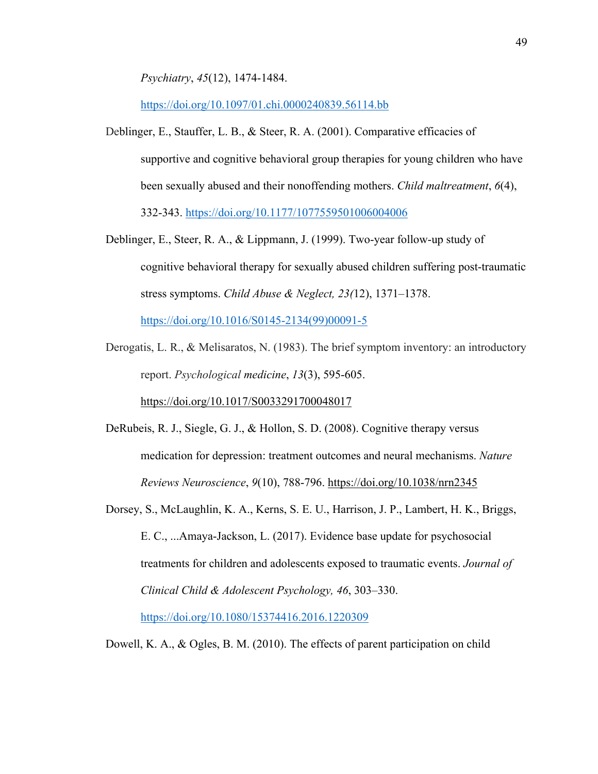*Psychiatry*, *45*(12), 1474-1484.

https://doi.org/10.1097/01.chi.0000240839.56114.bb

- Deblinger, E., Stauffer, L. B., & Steer, R. A. (2001). Comparative efficacies of supportive and cognitive behavioral group therapies for young children who have been sexually abused and their nonoffending mothers. *Child maltreatment*, *6*(4), 332-343. https://doi.org/10.1177/1077559501006004006
- Deblinger, E., Steer, R. A., & Lippmann, J. (1999). Two-year follow-up study of cognitive behavioral therapy for sexually abused children suffering post-traumatic stress symptoms. *Child Abuse & Neglect, 23(*12), 1371–1378.

https://doi.org/10.1016/S0145-2134(99)00091-5

Derogatis, L. R., & Melisaratos, N. (1983). The brief symptom inventory: an introductory report. *Psychological medicine*, *13*(3), 595-605.

https://doi.org/10.1017/S0033291700048017

- DeRubeis, R. J., Siegle, G. J., & Hollon, S. D. (2008). Cognitive therapy versus medication for depression: treatment outcomes and neural mechanisms. *Nature Reviews Neuroscience*, *9*(10), 788-796. https://doi.org/10.1038/nrn2345
- Dorsey, S., McLaughlin, K. A., Kerns, S. E. U., Harrison, J. P., Lambert, H. K., Briggs, E. C., ...Amaya-Jackson, L. (2017). Evidence base update for psychosocial treatments for children and adolescents exposed to traumatic events. *Journal of Clinical Child & Adolescent Psychology, 46*, 303–330. https://doi.org/10.1080/15374416.2016.1220309

Dowell, K. A., & Ogles, B. M. (2010). The effects of parent participation on child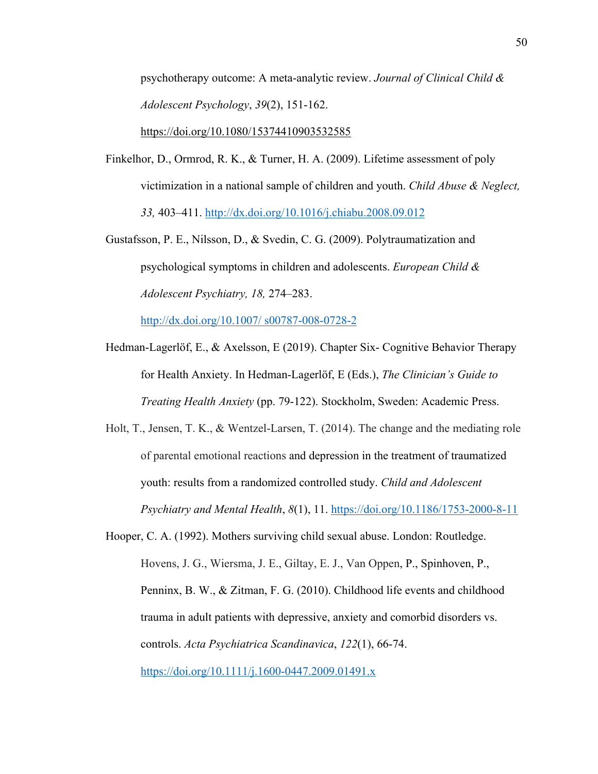psychotherapy outcome: A meta-analytic review. *Journal of Clinical Child & Adolescent Psychology*, *39*(2), 151-162.

https://doi.org/10.1080/15374410903532585

- Finkelhor, D., Ormrod, R. K., & Turner, H. A. (2009). Lifetime assessment of poly victimization in a national sample of children and youth. *Child Abuse & Neglect, 33,* 403–411. http://dx.doi.org/10.1016/j.chiabu.2008.09.012
- Gustafsson, P. E., Nilsson, D., & Svedin, C. G. (2009). Polytraumatization and psychological symptoms in children and adolescents. *European Child & Adolescent Psychiatry, 18,* 274–283.

http://dx.doi.org/10.1007/ s00787-008-0728-2

- Hedman-Lagerlöf, E., & Axelsson, E (2019). Chapter Six- Cognitive Behavior Therapy for Health Anxiety. In Hedman-Lagerlöf, E (Eds.), *The Clinician's Guide to Treating Health Anxiety* (pp. 79-122). Stockholm, Sweden: Academic Press.
- Holt, T., Jensen, T. K., & Wentzel-Larsen, T. (2014). The change and the mediating role of parental emotional reactions and depression in the treatment of traumatized youth: results from a randomized controlled study. *Child and Adolescent Psychiatry and Mental Health*, *8*(1), 11. https://doi.org/10.1186/1753-2000-8-11
- Hooper, C. A. (1992). Mothers surviving child sexual abuse. London: Routledge. Hovens, J. G., Wiersma, J. E., Giltay, E. J., Van Oppen, P., Spinhoven, P., Penninx, B. W., & Zitman, F. G. (2010). Childhood life events and childhood trauma in adult patients with depressive, anxiety and comorbid disorders vs. controls. *Acta Psychiatrica Scandinavica*, *122*(1), 66-74. https://doi.org/10.1111/j.1600-0447.2009.01491.x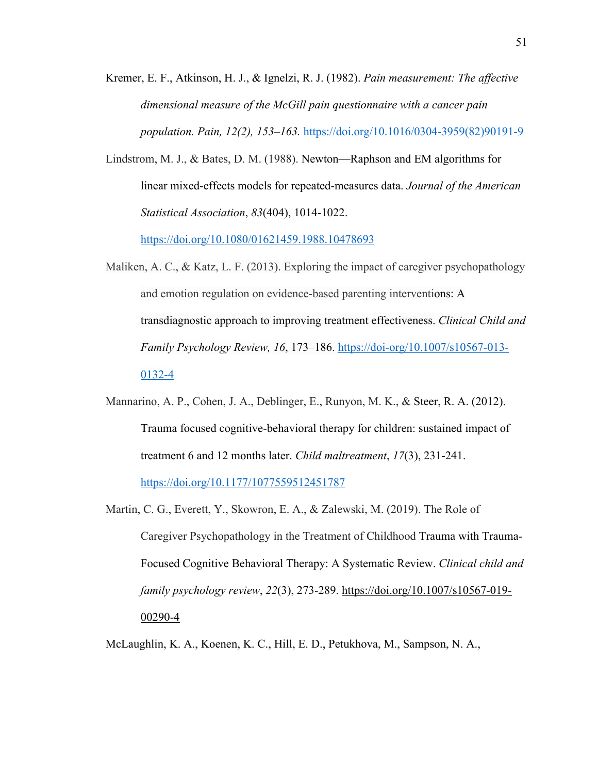Kremer, E. F., Atkinson, H. J., & Ignelzi, R. J. (1982). *Pain measurement: The affective dimensional measure of the McGill pain questionnaire with a cancer pain population. Pain, 12(2), 153–163.* https://doi.org/10.1016/0304-3959(82)90191-9

Lindstrom, M. J., & Bates, D. M. (1988). Newton—Raphson and EM algorithms for linear mixed-effects models for repeated-measures data. *Journal of the American Statistical Association*, *83*(404), 1014-1022.

https://doi.org/10.1080/01621459.1988.10478693

- Maliken, A. C., & Katz, L. F. (2013). Exploring the impact of caregiver psychopathology and emotion regulation on evidence-based parenting interventions: A transdiagnostic approach to improving treatment effectiveness. *Clinical Child and Family Psychology Review, 16*, 173–186. https://doi-org/10.1007/s10567-013- 0132-4
- Mannarino, A. P., Cohen, J. A., Deblinger, E., Runyon, M. K., & Steer, R. A. (2012). Trauma focused cognitive-behavioral therapy for children: sustained impact of treatment 6 and 12 months later. *Child maltreatment*, *17*(3), 231-241. https://doi.org/10.1177/1077559512451787
- Martin, C. G., Everett, Y., Skowron, E. A., & Zalewski, M. (2019). The Role of Caregiver Psychopathology in the Treatment of Childhood Trauma with Trauma-Focused Cognitive Behavioral Therapy: A Systematic Review. *Clinical child and family psychology review*, *22*(3), 273-289. https://doi.org/10.1007/s10567-019- 00290-4

McLaughlin, K. A., Koenen, K. C., Hill, E. D., Petukhova, M., Sampson, N. A.,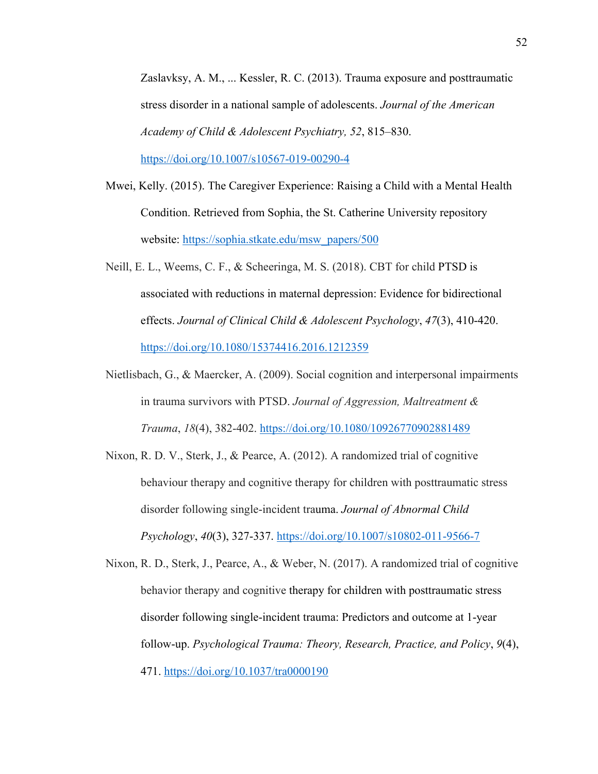Zaslavksy, A. M., ... Kessler, R. C. (2013). Trauma exposure and posttraumatic stress disorder in a national sample of adolescents. *Journal of the American Academy of Child & Adolescent Psychiatry, 52*, 815–830. https://doi.org/10.1007/s10567-019-00290-4

- Mwei, Kelly. (2015). The Caregiver Experience: Raising a Child with a Mental Health Condition. Retrieved from Sophia, the St. Catherine University repository website: https://sophia.stkate.edu/msw\_papers/500
- Neill, E. L., Weems, C. F., & Scheeringa, M. S. (2018). CBT for child PTSD is associated with reductions in maternal depression: Evidence for bidirectional effects. *Journal of Clinical Child & Adolescent Psychology*, *47*(3), 410-420. https://doi.org/10.1080/15374416.2016.1212359
- Nietlisbach, G., & Maercker, A. (2009). Social cognition and interpersonal impairments in trauma survivors with PTSD. *Journal of Aggression, Maltreatment & Trauma*, *18*(4), 382-402. https://doi.org/10.1080/10926770902881489
- Nixon, R. D. V., Sterk, J., & Pearce, A. (2012). A randomized trial of cognitive behaviour therapy and cognitive therapy for children with posttraumatic stress disorder following single-incident trauma. *Journal of Abnormal Child Psychology*, *40*(3), 327-337. https://doi.org/10.1007/s10802-011-9566-7

Nixon, R. D., Sterk, J., Pearce, A., & Weber, N. (2017). A randomized trial of cognitive behavior therapy and cognitive therapy for children with posttraumatic stress disorder following single-incident trauma: Predictors and outcome at 1-year follow-up. *Psychological Trauma: Theory, Research, Practice, and Policy*, *9*(4), 471. https://doi.org/10.1037/tra0000190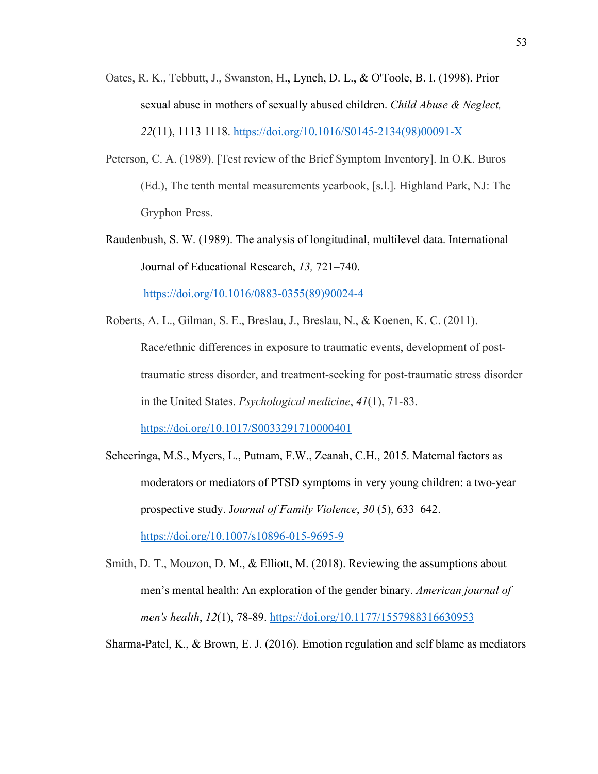- Oates, R. K., Tebbutt, J., Swanston, H., Lynch, D. L., & O'Toole, B. I. (1998). Prior sexual abuse in mothers of sexually abused children. *Child Abuse & Neglect, 22*(11), 1113 1118. https://doi.org/10.1016/S0145-2134(98)00091-X
- Peterson, C. A. (1989). [Test review of the Brief Symptom Inventory]. In O.K. Buros (Ed.), The tenth mental measurements yearbook, [s.l.]. Highland Park, NJ: The Gryphon Press.
- Raudenbush, S. W. (1989). The analysis of longitudinal, multilevel data. International Journal of Educational Research, *13,* 721–740. https://doi.org/10.1016/0883-0355(89)90024-4
- Roberts, A. L., Gilman, S. E., Breslau, J., Breslau, N., & Koenen, K. C. (2011). Race/ethnic differences in exposure to traumatic events, development of posttraumatic stress disorder, and treatment-seeking for post-traumatic stress disorder in the United States. *Psychological medicine*, *41*(1), 71-83. https://doi.org/10.1017/S0033291710000401
- Scheeringa, M.S., Myers, L., Putnam, F.W., Zeanah, C.H., 2015. Maternal factors as moderators or mediators of PTSD symptoms in very young children: a two-year prospective study. J*ournal of Family Violence*, *30* (5), 633–642. https://doi.org/10.1007/s10896-015-9695-9
- Smith, D. T., Mouzon, D. M., & Elliott, M. (2018). Reviewing the assumptions about men's mental health: An exploration of the gender binary. *American journal of men's health*, *12*(1), 78-89. https://doi.org/10.1177/1557988316630953
- Sharma-Patel, K., & Brown, E. J. (2016). Emotion regulation and self blame as mediators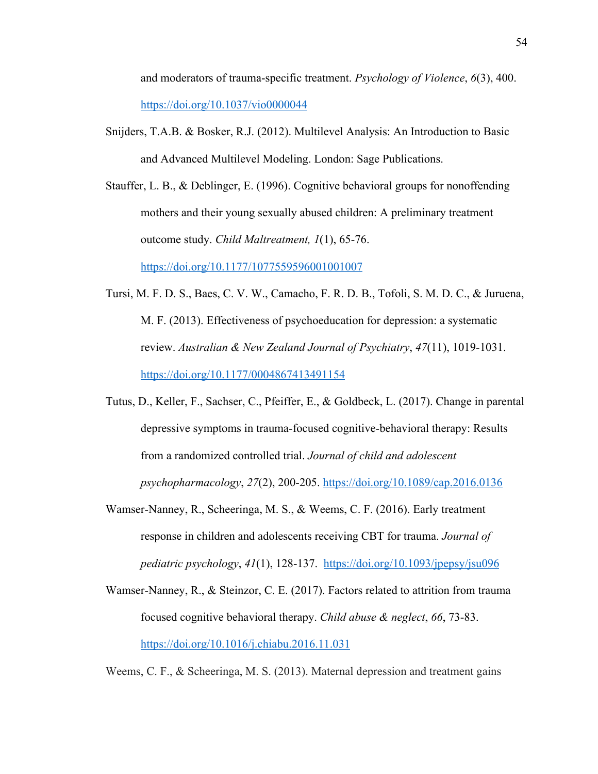and moderators of trauma-specific treatment. *Psychology of Violence*, *6*(3), 400. https://doi.org/10.1037/vio0000044

Snijders, T.A.B. & Bosker, R.J. (2012). Multilevel Analysis: An Introduction to Basic and Advanced Multilevel Modeling. London: Sage Publications.

Stauffer, L. B., & Deblinger, E. (1996). Cognitive behavioral groups for nonoffending mothers and their young sexually abused children: A preliminary treatment outcome study. *Child Maltreatment, 1*(1), 65-76.

https://doi.org/10.1177/1077559596001001007

- Tursi, M. F. D. S., Baes, C. V. W., Camacho, F. R. D. B., Tofoli, S. M. D. C., & Juruena, M. F. (2013). Effectiveness of psychoeducation for depression: a systematic review. *Australian & New Zealand Journal of Psychiatry*, *47*(11), 1019-1031. https://doi.org/10.1177/0004867413491154
- Tutus, D., Keller, F., Sachser, C., Pfeiffer, E., & Goldbeck, L. (2017). Change in parental depressive symptoms in trauma-focused cognitive-behavioral therapy: Results from a randomized controlled trial. *Journal of child and adolescent psychopharmacology*, *27*(2), 200-205. https://doi.org/10.1089/cap.2016.0136
- Wamser-Nanney, R., Scheeringa, M. S., & Weems, C. F. (2016). Early treatment response in children and adolescents receiving CBT for trauma. *Journal of pediatric psychology*, *41*(1), 128-137. https://doi.org/10.1093/jpepsy/jsu096
- Wamser-Nanney, R., & Steinzor, C. E. (2017). Factors related to attrition from trauma focused cognitive behavioral therapy. *Child abuse & neglect*, *66*, 73-83. https://doi.org/10.1016/j.chiabu.2016.11.031

Weems, C. F., & Scheeringa, M. S. (2013). Maternal depression and treatment gains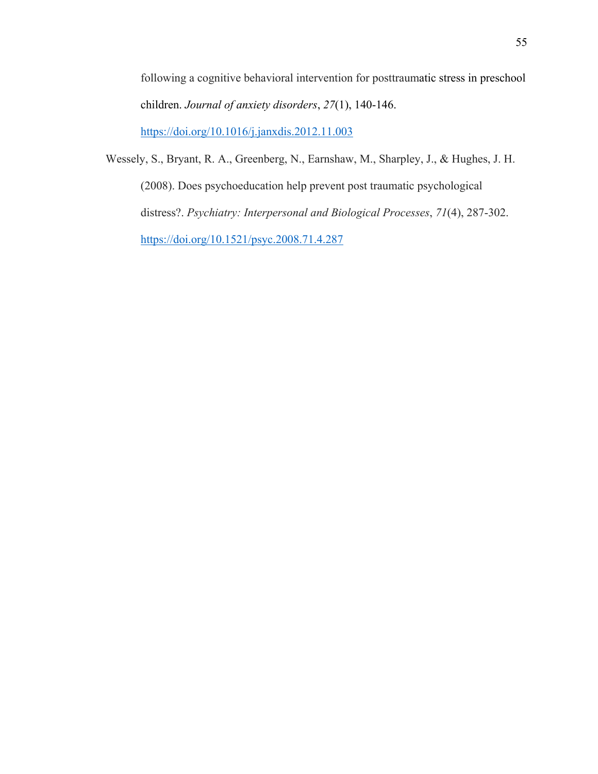following a cognitive behavioral intervention for posttraumatic stress in preschool children. *Journal of anxiety disorders*, *27*(1), 140-146. https://doi.org/10.1016/j.janxdis.2012.11.003

Wessely, S., Bryant, R. A., Greenberg, N., Earnshaw, M., Sharpley, J., & Hughes, J. H. (2008). Does psychoeducation help prevent post traumatic psychological distress?. *Psychiatry: Interpersonal and Biological Processes*, *71*(4), 287-302.

https://doi.org/10.1521/psyc.2008.71.4.287